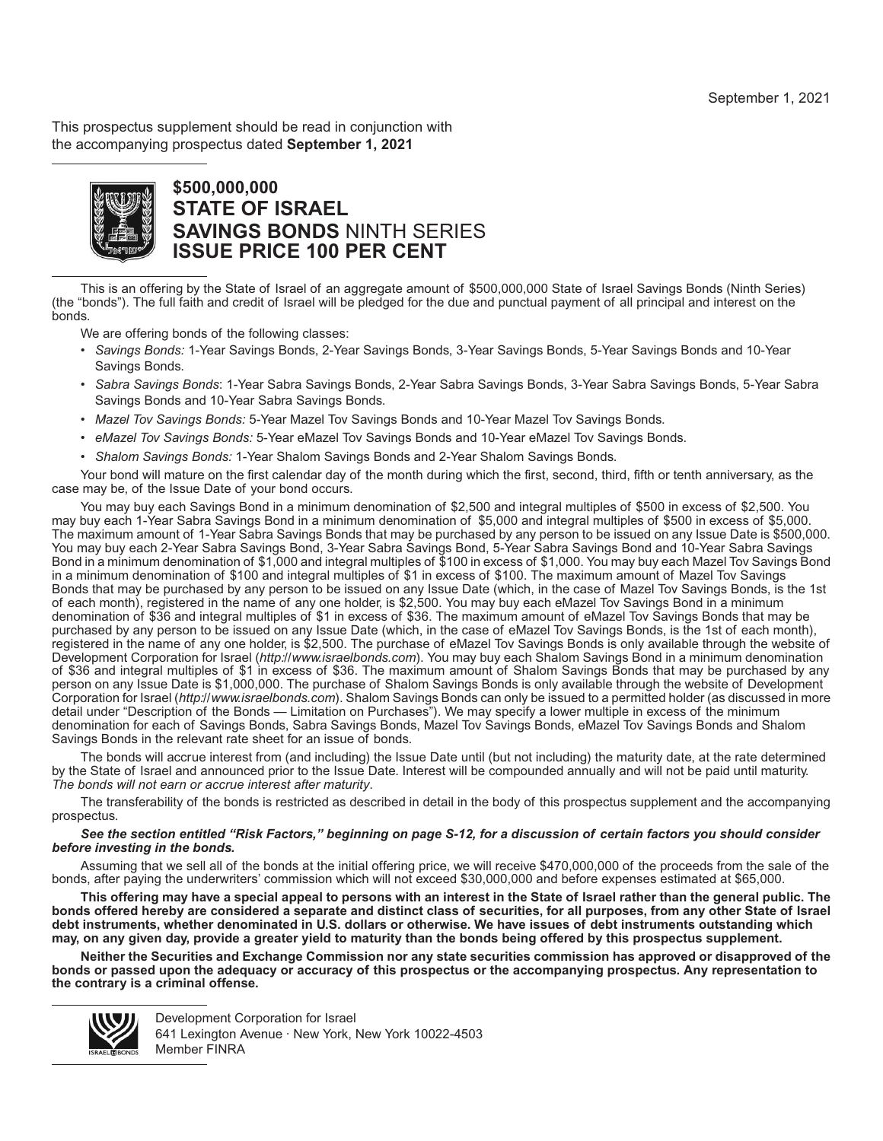This prospectus supplement should be read in conjunction with the accompanying prospectus dated **September 1, 2021**



# **\$500,000,000 STATE OF ISRAEL SAVINGS BONDS** NINTH SERIES **ISSUE PRICE 100 PER CENT**

This is an offering by the State of Israel of an aggregate amount of \$500,000,000 State of Israel Savings Bonds (Ninth Series) (the "bonds"). The full faith and credit of Israel will be pledged for the due and punctual payment of all principal and interest on the bonds.

We are offering bonds of the following classes:

- *Savings Bonds:* 1-Year Savings Bonds, 2-Year Savings Bonds, 3-Year Savings Bonds, 5-Year Savings Bonds and 10-Year Savings Bonds.
- *Sabra Savings Bonds*: 1-Year Sabra Savings Bonds, 2-Year Sabra Savings Bonds, 3-Year Sabra Savings Bonds, 5-Year Sabra Savings Bonds and 10-Year Sabra Savings Bonds.
- *Mazel Tov Savings Bonds:* 5-Year Mazel Tov Savings Bonds and 10-Year Mazel Tov Savings Bonds.
- *eMazel Tov Savings Bonds:* 5-Year eMazel Tov Savings Bonds and 10-Year eMazel Tov Savings Bonds.
- *Shalom Savings Bonds:* 1-Year Shalom Savings Bonds and 2-Year Shalom Savings Bonds.

Your bond will mature on the first calendar day of the month during which the first, second, third, fifth or tenth anniversary, as the case may be, of the Issue Date of your bond occurs.

You may buy each Savings Bond in a minimum denomination of \$2,500 and integral multiples of \$500 in excess of \$2,500. You may buy each 1-Year Sabra Savings Bond in a minimum denomination of \$5,000 and integral multiples of \$500 in excess of \$5,000. The maximum amount of 1-Year Sabra Savings Bonds that may be purchased by any person to be issued on any Issue Date is \$500,000. You may buy each 2-Year Sabra Savings Bond, 3-Year Sabra Savings Bond, 5-Year Sabra Savings Bond and 10-Year Sabra Savings Bond in a minimum denomination of \$1,000 and integral multiples of \$100 in excess of \$1,000. You may buy each Mazel Tov Savings Bond in a minimum denomination of \$100 and integral multiples of \$1 in excess of \$100. The maximum amount of Mazel Tov Savings Bonds that may be purchased by any person to be issued on any Issue Date (which, in the case of Mazel Tov Savings Bonds, is the 1st of each month), registered in the name of any one holder, is \$2,500. You may buy each eMazel Tov Savings Bond in a minimum denomination of \$36 and integral multiples of \$1 in excess of \$36. The maximum amount of eMazel Tov Savings Bonds that may be purchased by any person to be issued on any Issue Date (which, in the case of eMazel Tov Savings Bonds, is the 1st of each month), registered in the name of any one holder, is \$2,500. The purchase of eMazel Tov Savings Bonds is only available through the website of Development Corporation for Israel (*http://www.israelbonds.com*). You may buy each Shalom Savings Bond in a minimum denomination of \$36 and integral multiples of \$1 in excess of \$36. The maximum amount of Shalom Savings Bonds that may be purchased by any person on any Issue Date is \$1,000,000. The purchase of Shalom Savings Bonds is only available through the website of Development Corporation for Israel (*http://www.israelbonds.com*). Shalom Savings Bonds can only be issued to a permitted holder (as discussed in more detail under "Description of the Bonds — Limitation on Purchases"). We may specify a lower multiple in excess of the minimum denomination for each of Savings Bonds, Sabra Savings Bonds, Mazel Tov Savings Bonds, eMazel Tov Savings Bonds and Shalom Savings Bonds in the relevant rate sheet for an issue of bonds.

The bonds will accrue interest from (and including) the Issue Date until (but not including) the maturity date, at the rate determined by the State of Israel and announced prior to the Issue Date. Interest will be compounded annually and will not be paid until maturity. *The bonds will not earn or accrue interest after maturity*.

The transferability of the bonds is restricted as described in detail in the body of this prospectus supplement and the accompanying prospectus.

#### *See the section entitled "Risk Factors," beginning on page S-12, for a discussion of certain factors you should consider before investing in the bonds.*

Assuming that we sell all of the bonds at the initial offering price, we will receive \$470,000,000 of the proceeds from the sale of the bonds, after paying the underwriters' commission which will not exceed \$30,000,000 and before expenses estimated at \$65,000.

**This offering may have a special appeal to persons with an interest in the State of Israel rather than the general public. The bonds offered hereby are considered a separate and distinct class of securities, for all purposes, from any other State of Israel debt instruments, whether denominated in U.S. dollars or otherwise. We have issues of debt instruments outstanding which may, on any given day, provide a greater yield to maturity than the bonds being offered by this prospectus supplement.**

**Neither the Securities and Exchange Commission nor any state securities commission has approved or disapproved of the bonds or passed upon the adequacy or accuracy of this prospectus or the accompanying prospectus. Any representation to the contrary is a criminal offense.**



Development Corporation for Israel 641 Lexington Avenue · New York, New York 10022-4503 Member FINRA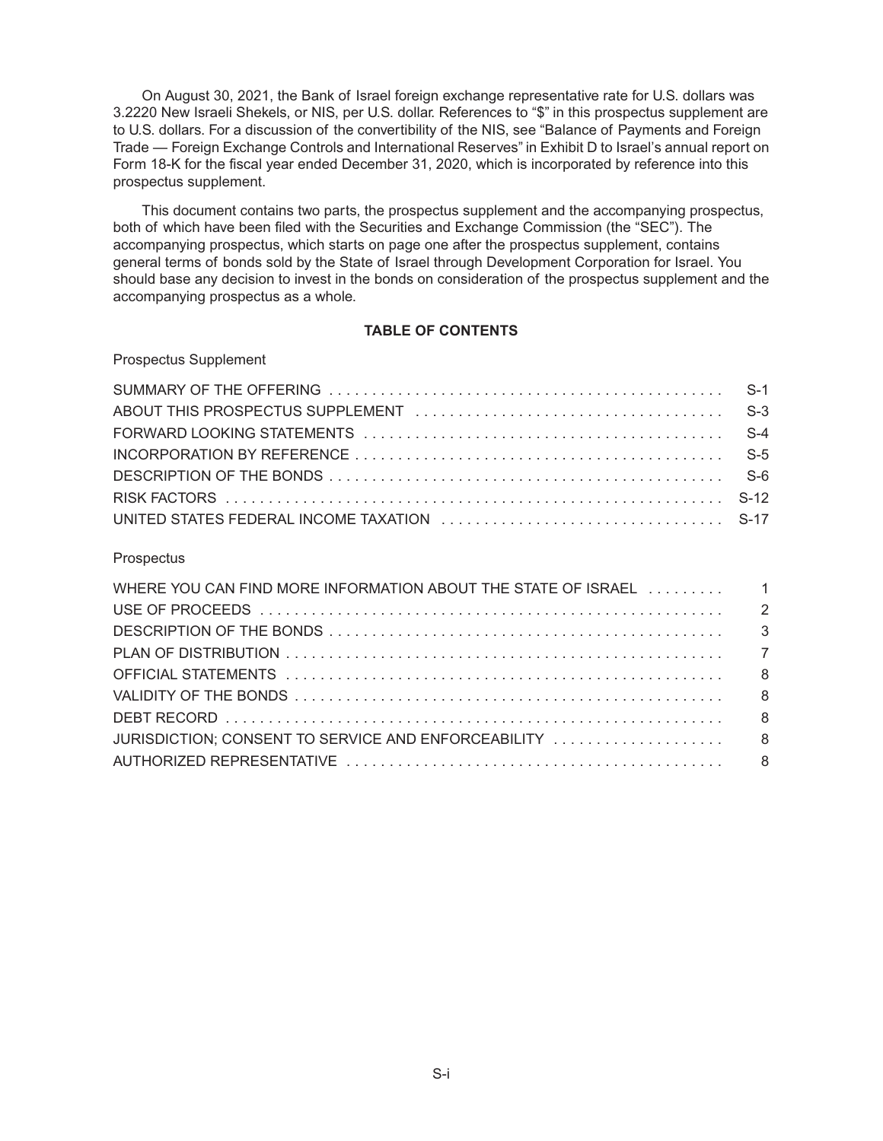On August 30, 2021, the Bank of Israel foreign exchange representative rate for U.S. dollars was 3.2220 New Israeli Shekels, or NIS, per U.S. dollar. References to "\$" in this prospectus supplement are to U.S. dollars. For a discussion of the convertibility of the NIS, see "Balance of Payments and Foreign Trade — Foreign Exchange Controls and International Reserves" in Exhibit D to Israel's annual report on Form 18-K for the fiscal year ended December 31, 2020, which is incorporated by reference into this prospectus supplement.

This document contains two parts, the prospectus supplement and the accompanying prospectus, both of which have been filed with the Securities and Exchange Commission (the "SEC"). The accompanying prospectus, which starts on page one after the prospectus supplement, contains general terms of bonds sold by the State of Israel through Development Corporation for Israel. You should base any decision to invest in the bonds on consideration of the prospectus supplement and the accompanying prospectus as a whole.

## **TABLE OF CONTENTS**

Prospectus Supplement

# **Prospectus**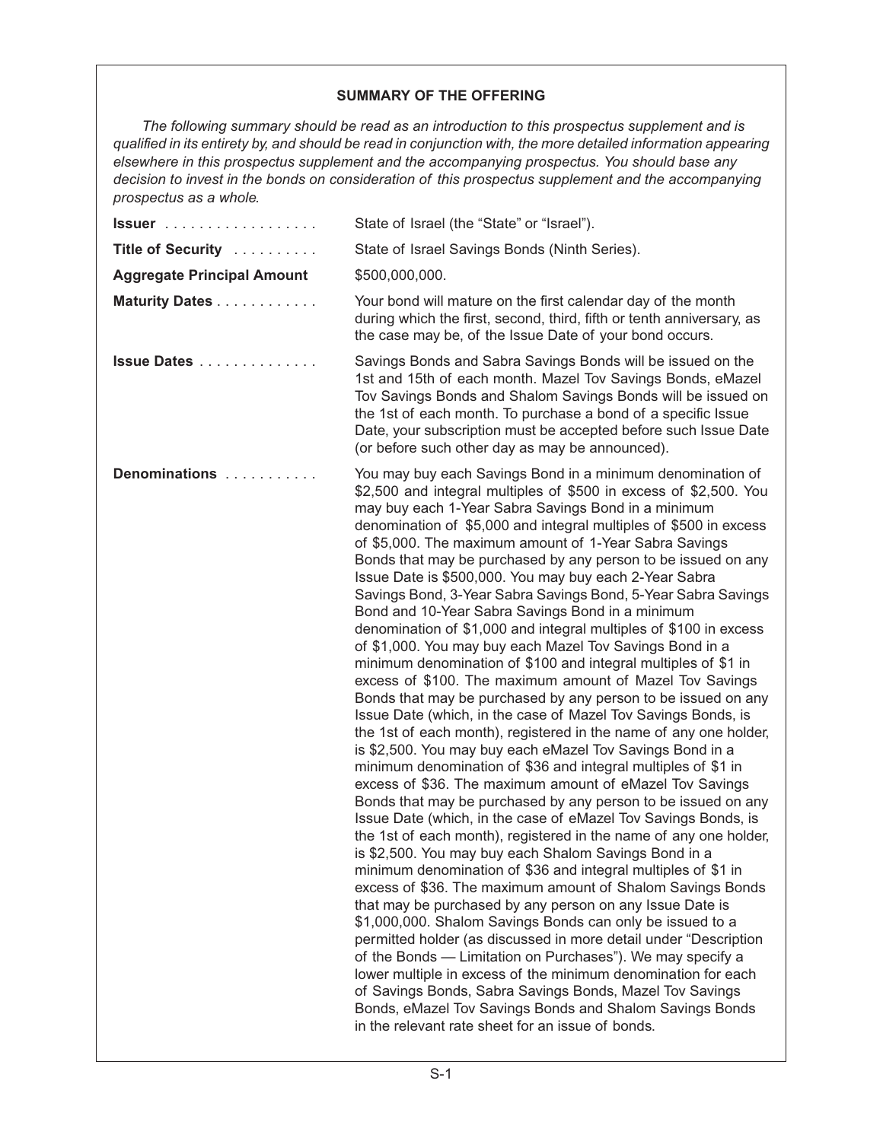## **SUMMARY OF THE OFFERING**

*The following summary should be read as an introduction to this prospectus supplement and is qualified in its entirety by, and should be read in conjunction with, the more detailed information appearing elsewhere in this prospectus supplement and the accompanying prospectus. You should base any decision to invest in the bonds on consideration of this prospectus supplement and the accompanying prospectus as a whole.*

| $lssuer$                          | State of Israel (the "State" or "Israel").                                                                                                                                                                                                                                                                                                                                                                                                                                                                                                                                                                                                                                                                                                                                                                                                                                                                                                                                                                                                                                                                                                                                                                                                                                                                                                                                                                                                                                                                                                                                                                                                                                                                                                                                                                                                                                                                                                                                                                                                                                                                                                     |
|-----------------------------------|------------------------------------------------------------------------------------------------------------------------------------------------------------------------------------------------------------------------------------------------------------------------------------------------------------------------------------------------------------------------------------------------------------------------------------------------------------------------------------------------------------------------------------------------------------------------------------------------------------------------------------------------------------------------------------------------------------------------------------------------------------------------------------------------------------------------------------------------------------------------------------------------------------------------------------------------------------------------------------------------------------------------------------------------------------------------------------------------------------------------------------------------------------------------------------------------------------------------------------------------------------------------------------------------------------------------------------------------------------------------------------------------------------------------------------------------------------------------------------------------------------------------------------------------------------------------------------------------------------------------------------------------------------------------------------------------------------------------------------------------------------------------------------------------------------------------------------------------------------------------------------------------------------------------------------------------------------------------------------------------------------------------------------------------------------------------------------------------------------------------------------------------|
| Title of Security                 | State of Israel Savings Bonds (Ninth Series).                                                                                                                                                                                                                                                                                                                                                                                                                                                                                                                                                                                                                                                                                                                                                                                                                                                                                                                                                                                                                                                                                                                                                                                                                                                                                                                                                                                                                                                                                                                                                                                                                                                                                                                                                                                                                                                                                                                                                                                                                                                                                                  |
| <b>Aggregate Principal Amount</b> | \$500,000,000.                                                                                                                                                                                                                                                                                                                                                                                                                                                                                                                                                                                                                                                                                                                                                                                                                                                                                                                                                                                                                                                                                                                                                                                                                                                                                                                                                                                                                                                                                                                                                                                                                                                                                                                                                                                                                                                                                                                                                                                                                                                                                                                                 |
| Maturity Dates                    | Your bond will mature on the first calendar day of the month<br>during which the first, second, third, fifth or tenth anniversary, as<br>the case may be, of the Issue Date of your bond occurs.                                                                                                                                                                                                                                                                                                                                                                                                                                                                                                                                                                                                                                                                                                                                                                                                                                                                                                                                                                                                                                                                                                                                                                                                                                                                                                                                                                                                                                                                                                                                                                                                                                                                                                                                                                                                                                                                                                                                               |
| Issue Dates                       | Savings Bonds and Sabra Savings Bonds will be issued on the<br>1st and 15th of each month. Mazel Tov Savings Bonds, eMazel<br>Tov Savings Bonds and Shalom Savings Bonds will be issued on<br>the 1st of each month. To purchase a bond of a specific Issue<br>Date, your subscription must be accepted before such Issue Date<br>(or before such other day as may be announced).                                                                                                                                                                                                                                                                                                                                                                                                                                                                                                                                                                                                                                                                                                                                                                                                                                                                                                                                                                                                                                                                                                                                                                                                                                                                                                                                                                                                                                                                                                                                                                                                                                                                                                                                                              |
| Denominations                     | You may buy each Savings Bond in a minimum denomination of<br>\$2,500 and integral multiples of \$500 in excess of \$2,500. You<br>may buy each 1-Year Sabra Savings Bond in a minimum<br>denomination of \$5,000 and integral multiples of \$500 in excess<br>of \$5,000. The maximum amount of 1-Year Sabra Savings<br>Bonds that may be purchased by any person to be issued on any<br>Issue Date is \$500,000. You may buy each 2-Year Sabra<br>Savings Bond, 3-Year Sabra Savings Bond, 5-Year Sabra Savings<br>Bond and 10-Year Sabra Savings Bond in a minimum<br>denomination of \$1,000 and integral multiples of \$100 in excess<br>of \$1,000. You may buy each Mazel Tov Savings Bond in a<br>minimum denomination of \$100 and integral multiples of \$1 in<br>excess of \$100. The maximum amount of Mazel Tov Savings<br>Bonds that may be purchased by any person to be issued on any<br>Issue Date (which, in the case of Mazel Tov Savings Bonds, is<br>the 1st of each month), registered in the name of any one holder,<br>is \$2,500. You may buy each eMazel Tov Savings Bond in a<br>minimum denomination of \$36 and integral multiples of \$1 in<br>excess of \$36. The maximum amount of eMazel Tov Savings<br>Bonds that may be purchased by any person to be issued on any<br>Issue Date (which, in the case of eMazel Tov Savings Bonds, is<br>the 1st of each month), registered in the name of any one holder,<br>is \$2,500. You may buy each Shalom Savings Bond in a<br>minimum denomination of \$36 and integral multiples of \$1 in<br>excess of \$36. The maximum amount of Shalom Savings Bonds<br>that may be purchased by any person on any Issue Date is<br>\$1,000,000. Shalom Savings Bonds can only be issued to a<br>permitted holder (as discussed in more detail under "Description<br>of the Bonds - Limitation on Purchases"). We may specify a<br>lower multiple in excess of the minimum denomination for each<br>of Savings Bonds, Sabra Savings Bonds, Mazel Tov Savings<br>Bonds, eMazel Tov Savings Bonds and Shalom Savings Bonds<br>in the relevant rate sheet for an issue of bonds. |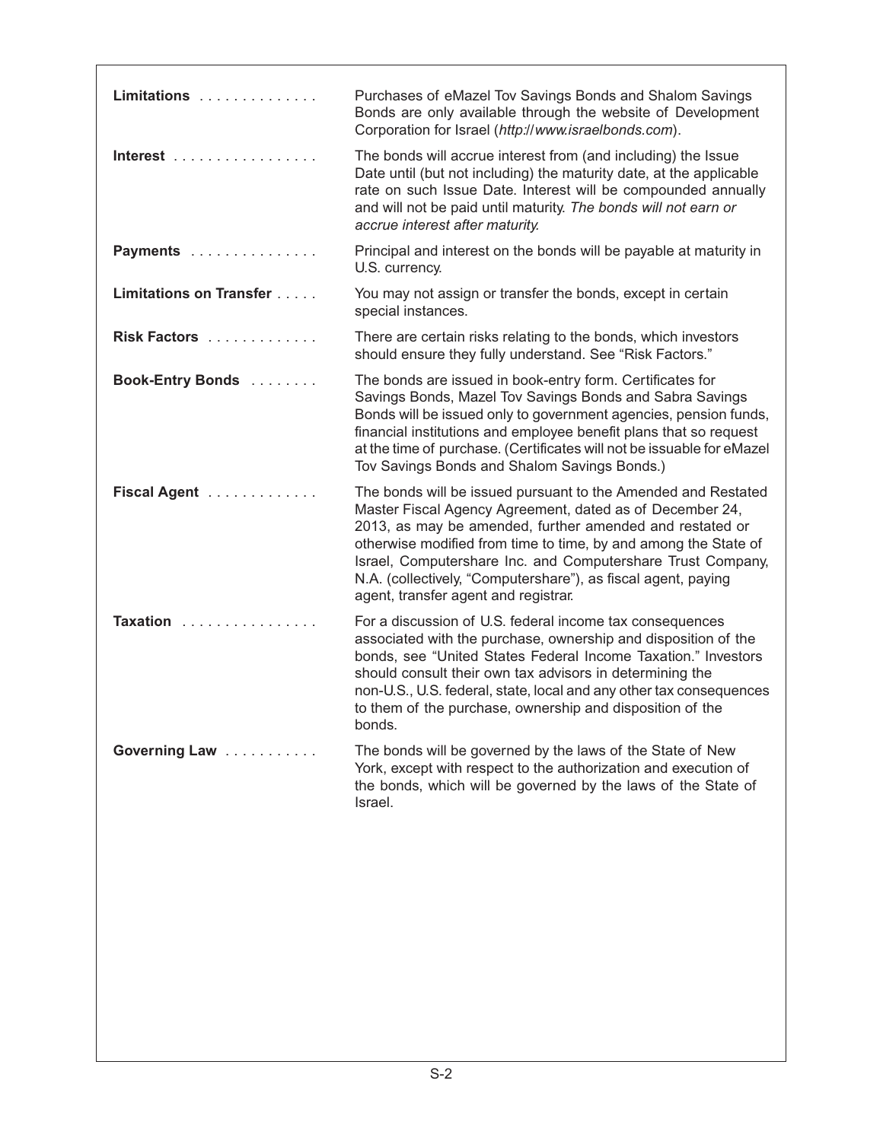| Limitations                                   | Purchases of eMazel Tov Savings Bonds and Shalom Savings<br>Bonds are only available through the website of Development<br>Corporation for Israel (http://www.israelbonds.com).                                                                                                                                                                                                                                                  |
|-----------------------------------------------|----------------------------------------------------------------------------------------------------------------------------------------------------------------------------------------------------------------------------------------------------------------------------------------------------------------------------------------------------------------------------------------------------------------------------------|
| Interest $\ldots \ldots \ldots \ldots \ldots$ | The bonds will accrue interest from (and including) the Issue<br>Date until (but not including) the maturity date, at the applicable<br>rate on such Issue Date. Interest will be compounded annually<br>and will not be paid until maturity. The bonds will not earn or<br>accrue interest after maturity.                                                                                                                      |
| Payments                                      | Principal and interest on the bonds will be payable at maturity in<br>U.S. currency.                                                                                                                                                                                                                                                                                                                                             |
| Limitations on Transfer                       | You may not assign or transfer the bonds, except in certain<br>special instances.                                                                                                                                                                                                                                                                                                                                                |
| Risk Factors                                  | There are certain risks relating to the bonds, which investors<br>should ensure they fully understand. See "Risk Factors."                                                                                                                                                                                                                                                                                                       |
| Book-Entry Bonds                              | The bonds are issued in book-entry form. Certificates for<br>Savings Bonds, Mazel Tov Savings Bonds and Sabra Savings<br>Bonds will be issued only to government agencies, pension funds,<br>financial institutions and employee benefit plans that so request<br>at the time of purchase. (Certificates will not be issuable for eMazel<br>Tov Savings Bonds and Shalom Savings Bonds.)                                         |
| Fiscal Agent                                  | The bonds will be issued pursuant to the Amended and Restated<br>Master Fiscal Agency Agreement, dated as of December 24,<br>2013, as may be amended, further amended and restated or<br>otherwise modified from time to time, by and among the State of<br>Israel, Computershare Inc. and Computershare Trust Company,<br>N.A. (collectively, "Computershare"), as fiscal agent, paying<br>agent, transfer agent and registrar. |
| Taxation                                      | For a discussion of U.S. federal income tax consequences<br>associated with the purchase, ownership and disposition of the<br>bonds, see "United States Federal Income Taxation." Investors<br>should consult their own tax advisors in determining the<br>non-U.S., U.S. federal, state, local and any other tax consequences<br>to them of the purchase, ownership and disposition of the<br>bonds.                            |
| Governing Law                                 | The bonds will be governed by the laws of the State of New<br>York, except with respect to the authorization and execution of<br>the bonds, which will be governed by the laws of the State of<br>Israel.                                                                                                                                                                                                                        |
|                                               |                                                                                                                                                                                                                                                                                                                                                                                                                                  |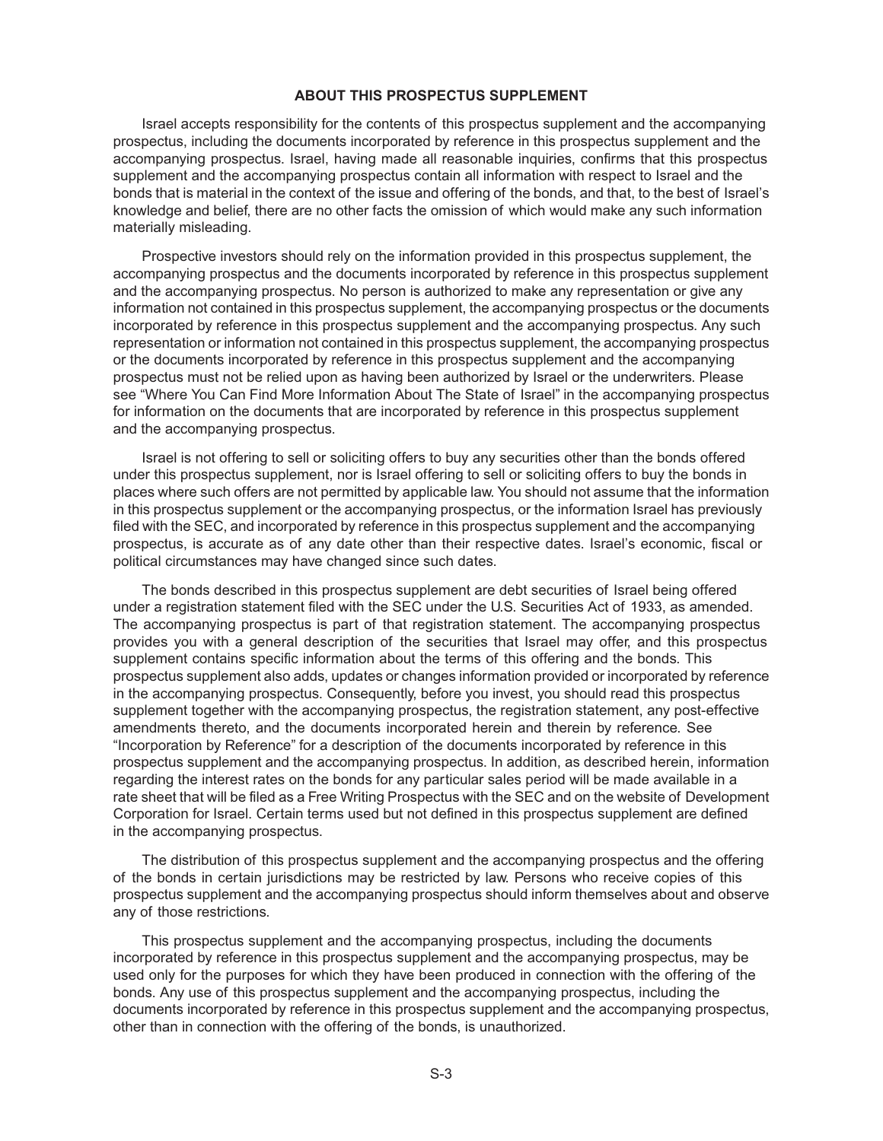#### **ABOUT THIS PROSPECTUS SUPPLEMENT**

Israel accepts responsibility for the contents of this prospectus supplement and the accompanying prospectus, including the documents incorporated by reference in this prospectus supplement and the accompanying prospectus. Israel, having made all reasonable inquiries, confirms that this prospectus supplement and the accompanying prospectus contain all information with respect to Israel and the bonds that is material in the context of the issue and offering of the bonds, and that, to the best of Israel's knowledge and belief, there are no other facts the omission of which would make any such information materially misleading.

Prospective investors should rely on the information provided in this prospectus supplement, the accompanying prospectus and the documents incorporated by reference in this prospectus supplement and the accompanying prospectus. No person is authorized to make any representation or give any information not contained in this prospectus supplement, the accompanying prospectus or the documents incorporated by reference in this prospectus supplement and the accompanying prospectus. Any such representation or information not contained in this prospectus supplement, the accompanying prospectus or the documents incorporated by reference in this prospectus supplement and the accompanying prospectus must not be relied upon as having been authorized by Israel or the underwriters. Please see "Where You Can Find More Information About The State of Israel" in the accompanying prospectus for information on the documents that are incorporated by reference in this prospectus supplement and the accompanying prospectus.

Israel is not offering to sell or soliciting offers to buy any securities other than the bonds offered under this prospectus supplement, nor is Israel offering to sell or soliciting offers to buy the bonds in places where such offers are not permitted by applicable law. You should not assume that the information in this prospectus supplement or the accompanying prospectus, or the information Israel has previously filed with the SEC, and incorporated by reference in this prospectus supplement and the accompanying prospectus, is accurate as of any date other than their respective dates. Israel's economic, fiscal or political circumstances may have changed since such dates.

The bonds described in this prospectus supplement are debt securities of Israel being offered under a registration statement filed with the SEC under the U.S. Securities Act of 1933, as amended. The accompanying prospectus is part of that registration statement. The accompanying prospectus provides you with a general description of the securities that Israel may offer, and this prospectus supplement contains specific information about the terms of this offering and the bonds. This prospectus supplement also adds, updates or changes information provided or incorporated by reference in the accompanying prospectus. Consequently, before you invest, you should read this prospectus supplement together with the accompanying prospectus, the registration statement, any post-effective amendments thereto, and the documents incorporated herein and therein by reference. See "Incorporation by Reference" for a description of the documents incorporated by reference in this prospectus supplement and the accompanying prospectus. In addition, as described herein, information regarding the interest rates on the bonds for any particular sales period will be made available in a rate sheet that will be filed as a Free Writing Prospectus with the SEC and on the website of Development Corporation for Israel. Certain terms used but not defined in this prospectus supplement are defined in the accompanying prospectus.

The distribution of this prospectus supplement and the accompanying prospectus and the offering of the bonds in certain jurisdictions may be restricted by law. Persons who receive copies of this prospectus supplement and the accompanying prospectus should inform themselves about and observe any of those restrictions.

This prospectus supplement and the accompanying prospectus, including the documents incorporated by reference in this prospectus supplement and the accompanying prospectus, may be used only for the purposes for which they have been produced in connection with the offering of the bonds. Any use of this prospectus supplement and the accompanying prospectus, including the documents incorporated by reference in this prospectus supplement and the accompanying prospectus, other than in connection with the offering of the bonds, is unauthorized.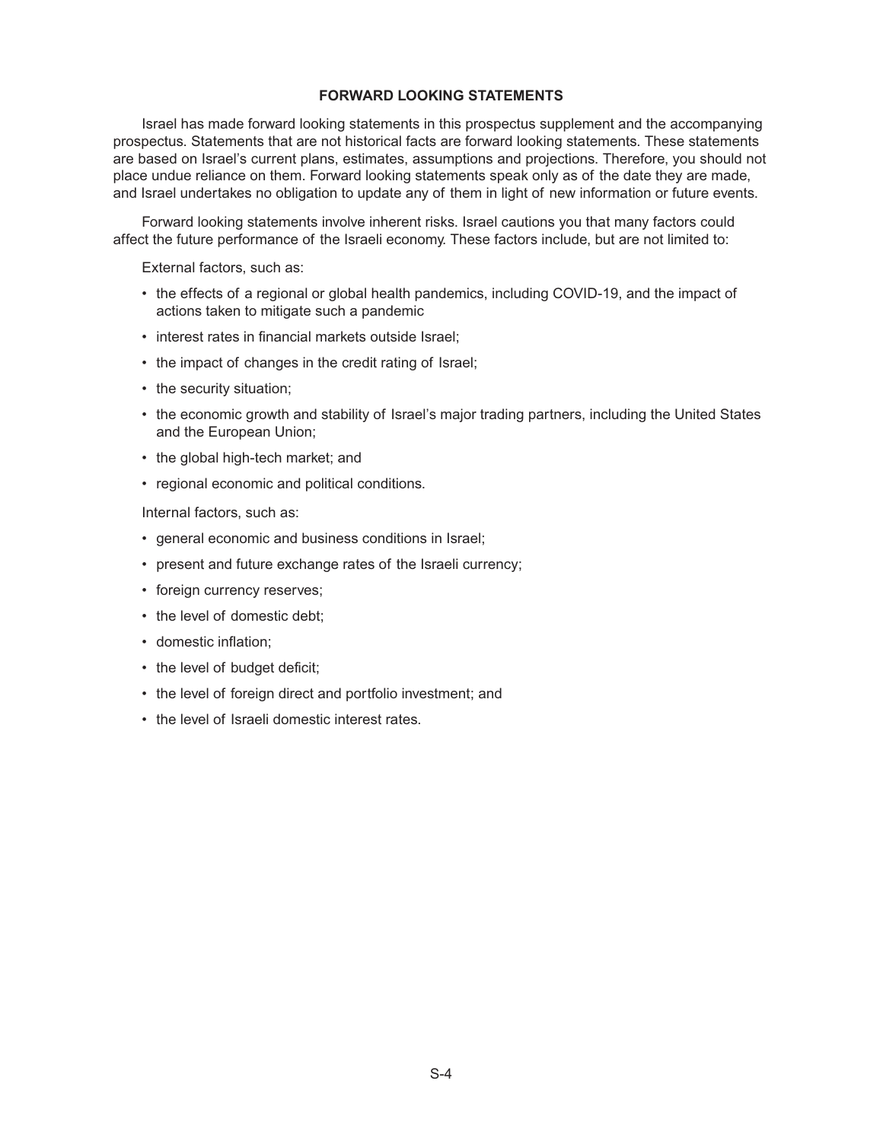## **FORWARD LOOKING STATEMENTS**

Israel has made forward looking statements in this prospectus supplement and the accompanying prospectus. Statements that are not historical facts are forward looking statements. These statements are based on Israel's current plans, estimates, assumptions and projections. Therefore, you should not place undue reliance on them. Forward looking statements speak only as of the date they are made, and Israel undertakes no obligation to update any of them in light of new information or future events.

Forward looking statements involve inherent risks. Israel cautions you that many factors could affect the future performance of the Israeli economy. These factors include, but are not limited to:

External factors, such as:

- the effects of a regional or global health pandemics, including COVID-19, and the impact of actions taken to mitigate such a pandemic
- interest rates in financial markets outside Israel;
- the impact of changes in the credit rating of Israel;
- the security situation;
- the economic growth and stability of Israel's major trading partners, including the United States and the European Union;
- the global high-tech market; and
- regional economic and political conditions.

Internal factors, such as:

- general economic and business conditions in Israel;
- present and future exchange rates of the Israeli currency;
- foreign currency reserves;
- the level of domestic debt;
- domestic inflation;
- the level of budget deficit;
- the level of foreign direct and portfolio investment; and
- the level of Israeli domestic interest rates.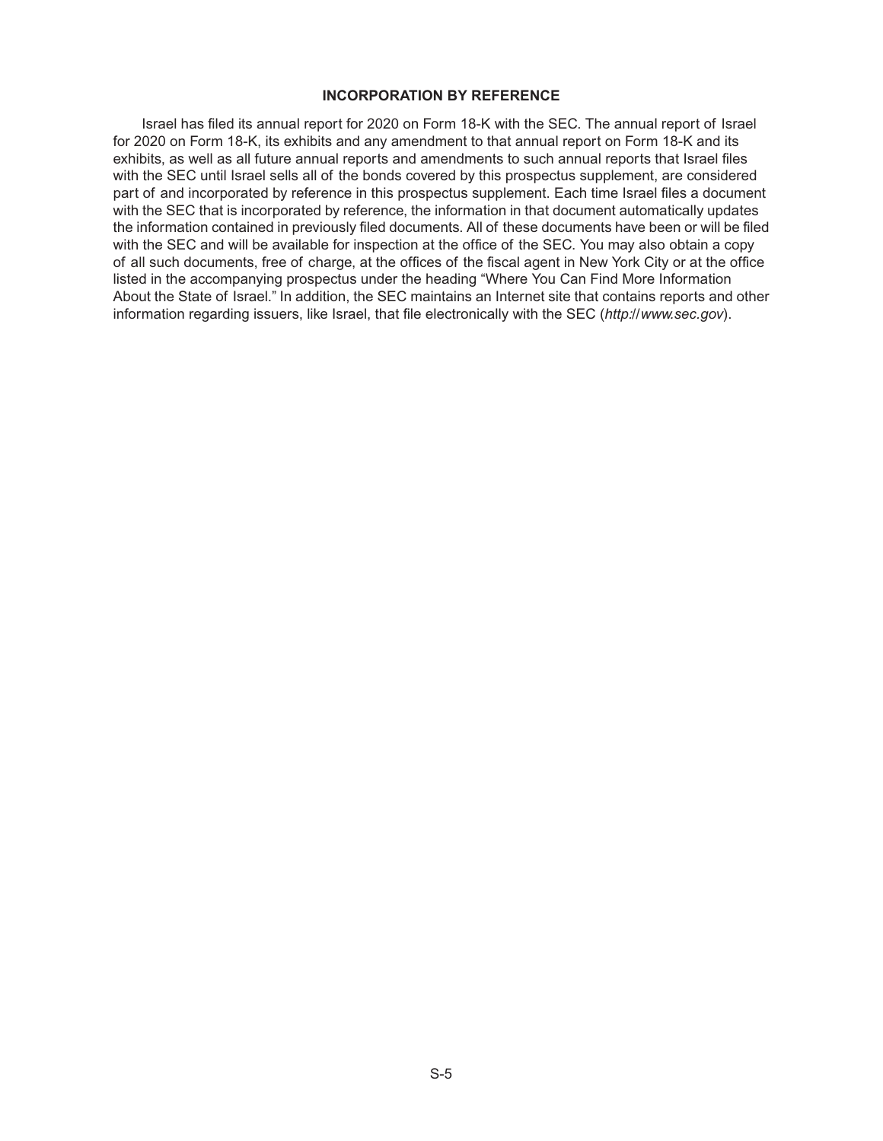#### **INCORPORATION BY REFERENCE**

Israel has filed its annual report for 2020 on Form 18-K with the SEC. The annual report of Israel for 2020 on Form 18-K, its exhibits and any amendment to that annual report on Form 18-K and its exhibits, as well as all future annual reports and amendments to such annual reports that Israel files with the SEC until Israel sells all of the bonds covered by this prospectus supplement, are considered part of and incorporated by reference in this prospectus supplement. Each time Israel files a document with the SEC that is incorporated by reference, the information in that document automatically updates the information contained in previously filed documents. All of these documents have been or will be filed with the SEC and will be available for inspection at the office of the SEC. You may also obtain a copy of all such documents, free of charge, at the offices of the fiscal agent in New York City or at the office listed in the accompanying prospectus under the heading "Where You Can Find More Information About the State of Israel." In addition, the SEC maintains an Internet site that contains reports and other information regarding issuers, like Israel, that file electronically with the SEC (*http://www.sec.gov*).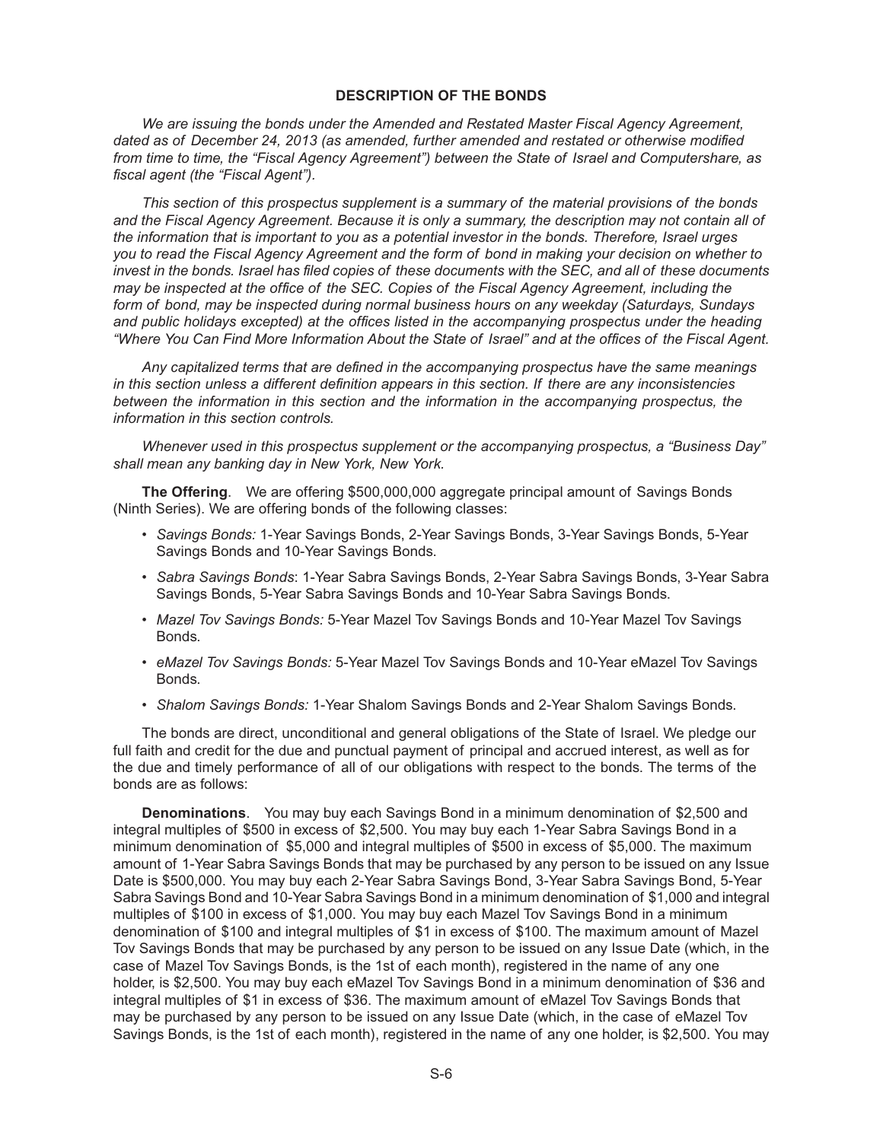## **DESCRIPTION OF THE BONDS**

*We are issuing the bonds under the Amended and Restated Master Fiscal Agency Agreement, dated as of December 24, 2013 (as amended, further amended and restated or otherwise modified from time to time, the "Fiscal Agency Agreement") between the State of Israel and Computershare, as fiscal agent (the "Fiscal Agent").*

*This section of this prospectus supplement is a summary of the material provisions of the bonds and the Fiscal Agency Agreement. Because it is only a summary, the description may not contain all of the information that is important to you as a potential investor in the bonds. Therefore, Israel urges you to read the Fiscal Agency Agreement and the form of bond in making your decision on whether to invest in the bonds. Israel has filed copies of these documents with the SEC, and all of these documents may be inspected at the office of the SEC. Copies of the Fiscal Agency Agreement, including the form of bond, may be inspected during normal business hours on any weekday (Saturdays, Sundays and public holidays excepted) at the offices listed in the accompanying prospectus under the heading "Where You Can Find More Information About the State of Israel" and at the offices of the Fiscal Agent.*

*Any capitalized terms that are defined in the accompanying prospectus have the same meanings in this section unless a different definition appears in this section. If there are any inconsistencies between the information in this section and the information in the accompanying prospectus, the information in this section controls.*

*Whenever used in this prospectus supplement or the accompanying prospectus, a "Business Day" shall mean any banking day in New York, New York.*

**The Offering**. We are offering \$500,000,000 aggregate principal amount of Savings Bonds (Ninth Series). We are offering bonds of the following classes:

- *Savings Bonds:* 1-Year Savings Bonds, 2-Year Savings Bonds, 3-Year Savings Bonds, 5-Year Savings Bonds and 10-Year Savings Bonds.
- *Sabra Savings Bonds*: 1-Year Sabra Savings Bonds, 2-Year Sabra Savings Bonds, 3-Year Sabra Savings Bonds, 5-Year Sabra Savings Bonds and 10-Year Sabra Savings Bonds.
- *Mazel Tov Savings Bonds:* 5-Year Mazel Tov Savings Bonds and 10-Year Mazel Tov Savings Bonds.
- *eMazel Tov Savings Bonds:* 5-Year Mazel Tov Savings Bonds and 10-Year eMazel Tov Savings **Bonds**
- *Shalom Savings Bonds:* 1-Year Shalom Savings Bonds and 2-Year Shalom Savings Bonds.

The bonds are direct, unconditional and general obligations of the State of Israel. We pledge our full faith and credit for the due and punctual payment of principal and accrued interest, as well as for the due and timely performance of all of our obligations with respect to the bonds. The terms of the bonds are as follows:

**Denominations**. You may buy each Savings Bond in a minimum denomination of \$2,500 and integral multiples of \$500 in excess of \$2,500. You may buy each 1-Year Sabra Savings Bond in a minimum denomination of \$5,000 and integral multiples of \$500 in excess of \$5,000. The maximum amount of 1-Year Sabra Savings Bonds that may be purchased by any person to be issued on any Issue Date is \$500,000. You may buy each 2-Year Sabra Savings Bond, 3-Year Sabra Savings Bond, 5-Year Sabra Savings Bond and 10-Year Sabra Savings Bond in a minimum denomination of \$1,000 and integral multiples of \$100 in excess of \$1,000. You may buy each Mazel Tov Savings Bond in a minimum denomination of \$100 and integral multiples of \$1 in excess of \$100. The maximum amount of Mazel Tov Savings Bonds that may be purchased by any person to be issued on any Issue Date (which, in the case of Mazel Tov Savings Bonds, is the 1st of each month), registered in the name of any one holder, is \$2,500. You may buy each eMazel Tov Savings Bond in a minimum denomination of \$36 and integral multiples of \$1 in excess of \$36. The maximum amount of eMazel Tov Savings Bonds that may be purchased by any person to be issued on any Issue Date (which, in the case of eMazel Tov Savings Bonds, is the 1st of each month), registered in the name of any one holder, is \$2,500. You may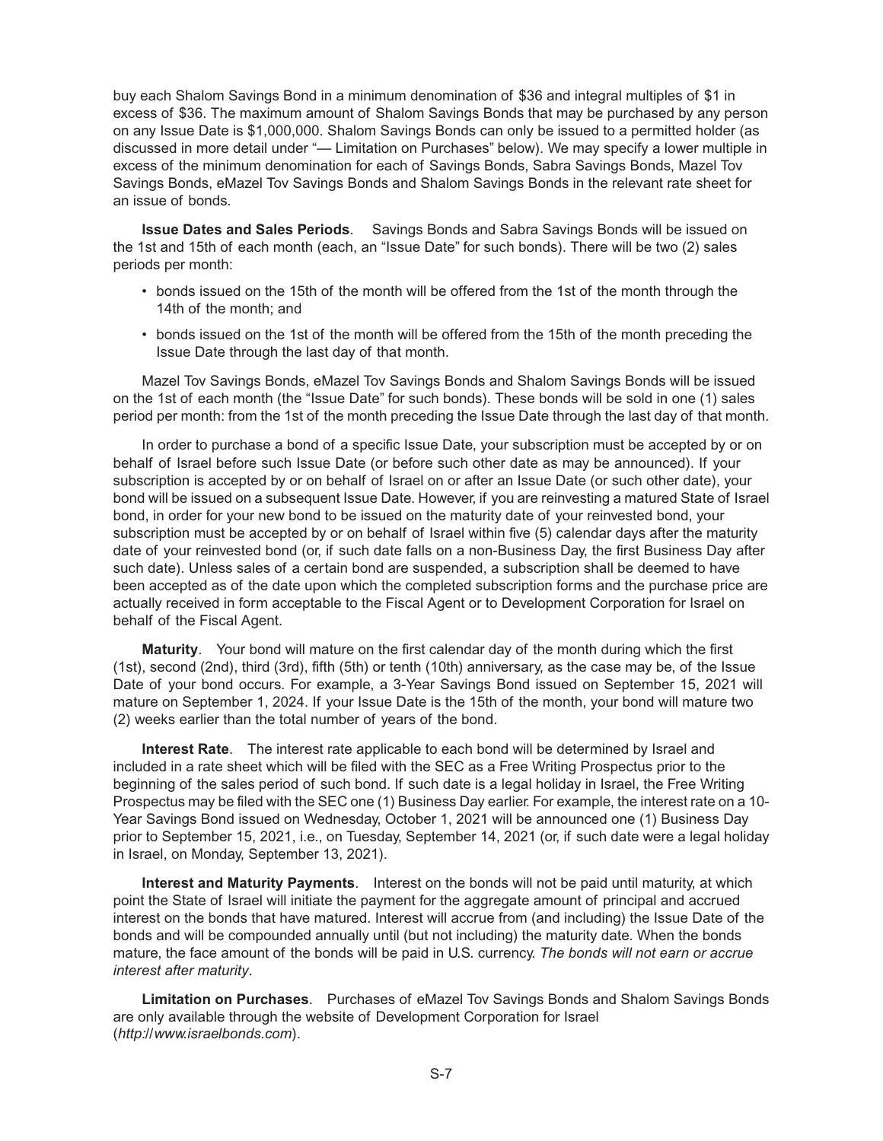buy each Shalom Savings Bond in a minimum denomination of \$36 and integral multiples of \$1 in excess of \$36. The maximum amount of Shalom Savings Bonds that may be purchased by any person on any Issue Date is \$1,000,000. Shalom Savings Bonds can only be issued to a permitted holder (as discussed in more detail under "— Limitation on Purchases" below). We may specify a lower multiple in excess of the minimum denomination for each of Savings Bonds, Sabra Savings Bonds, Mazel Tov Savings Bonds, eMazel Tov Savings Bonds and Shalom Savings Bonds in the relevant rate sheet for an issue of bonds.

**Issue Dates and Sales Periods**. Savings Bonds and Sabra Savings Bonds will be issued on the 1st and 15th of each month (each, an "Issue Date" for such bonds). There will be two (2) sales periods per month:

- bonds issued on the 15th of the month will be offered from the 1st of the month through the 14th of the month; and
- bonds issued on the 1st of the month will be offered from the 15th of the month preceding the Issue Date through the last day of that month.

Mazel Tov Savings Bonds, eMazel Tov Savings Bonds and Shalom Savings Bonds will be issued on the 1st of each month (the "Issue Date" for such bonds). These bonds will be sold in one (1) sales period per month: from the 1st of the month preceding the Issue Date through the last day of that month.

In order to purchase a bond of a specific Issue Date, your subscription must be accepted by or on behalf of Israel before such Issue Date (or before such other date as may be announced). If your subscription is accepted by or on behalf of Israel on or after an Issue Date (or such other date), your bond will be issued on a subsequent Issue Date. However, if you are reinvesting a matured State of Israel bond, in order for your new bond to be issued on the maturity date of your reinvested bond, your subscription must be accepted by or on behalf of Israel within five (5) calendar days after the maturity date of your reinvested bond (or, if such date falls on a non-Business Day, the first Business Day after such date). Unless sales of a certain bond are suspended, a subscription shall be deemed to have been accepted as of the date upon which the completed subscription forms and the purchase price are actually received in form acceptable to the Fiscal Agent or to Development Corporation for Israel on behalf of the Fiscal Agent.

**Maturity**. Your bond will mature on the first calendar day of the month during which the first (1st), second (2nd), third (3rd), fifth (5th) or tenth (10th) anniversary, as the case may be, of the Issue Date of your bond occurs. For example, a 3-Year Savings Bond issued on September 15, 2021 will mature on September 1, 2024. If your Issue Date is the 15th of the month, your bond will mature two (2) weeks earlier than the total number of years of the bond.

**Interest Rate**. The interest rate applicable to each bond will be determined by Israel and included in a rate sheet which will be filed with the SEC as a Free Writing Prospectus prior to the beginning of the sales period of such bond. If such date is a legal holiday in Israel, the Free Writing Prospectus may be filed with the SEC one (1) Business Day earlier. For example, the interest rate on a 10- Year Savings Bond issued on Wednesday, October 1, 2021 will be announced one (1) Business Day prior to September 15, 2021, i.e., on Tuesday, September 14, 2021 (or, if such date were a legal holiday in Israel, on Monday, September 13, 2021).

**Interest and Maturity Payments**. Interest on the bonds will not be paid until maturity, at which point the State of Israel will initiate the payment for the aggregate amount of principal and accrued interest on the bonds that have matured. Interest will accrue from (and including) the Issue Date of the bonds and will be compounded annually until (but not including) the maturity date. When the bonds mature, the face amount of the bonds will be paid in U.S. currency. *The bonds will not earn or accrue interest after maturity*.

**Limitation on Purchases**. Purchases of eMazel Tov Savings Bonds and Shalom Savings Bonds are only available through the website of Development Corporation for Israel (*http://www.israelbonds.com*).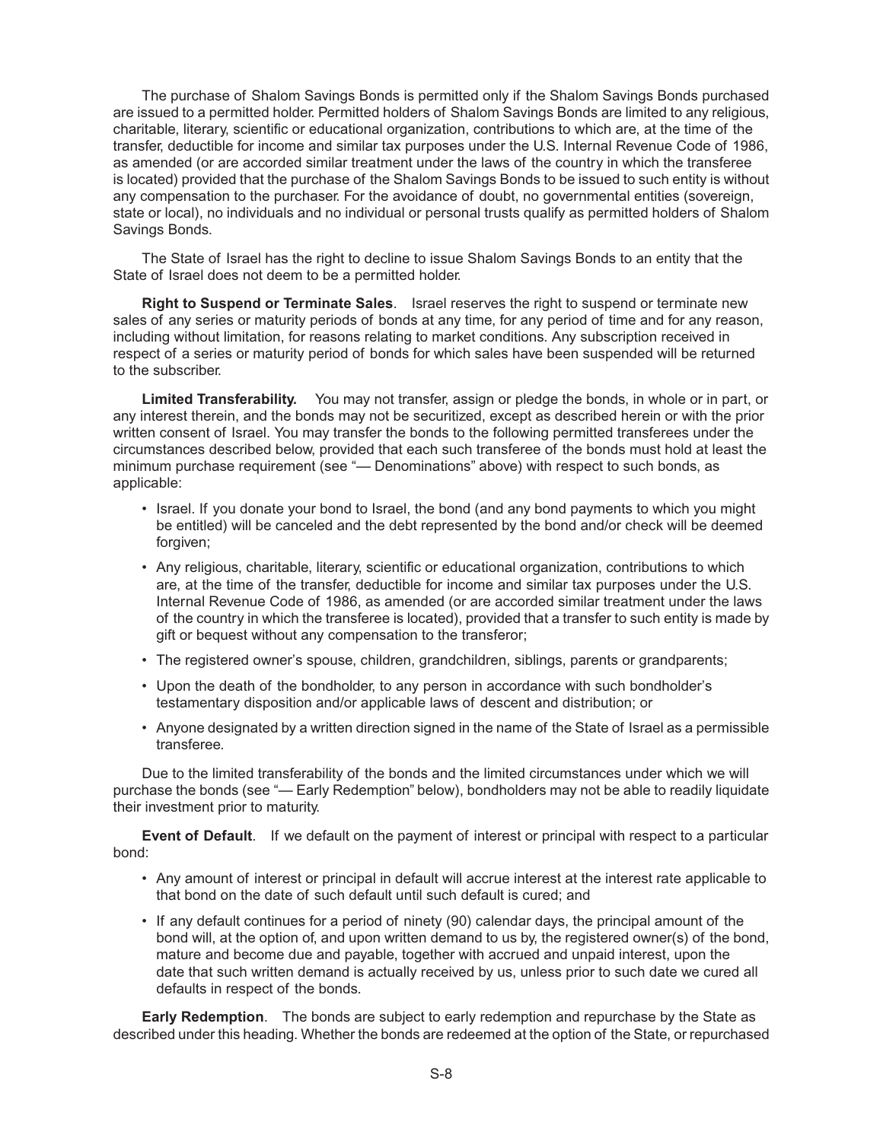The purchase of Shalom Savings Bonds is permitted only if the Shalom Savings Bonds purchased are issued to a permitted holder. Permitted holders of Shalom Savings Bonds are limited to any religious, charitable, literary, scientific or educational organization, contributions to which are, at the time of the transfer, deductible for income and similar tax purposes under the U.S. Internal Revenue Code of 1986, as amended (or are accorded similar treatment under the laws of the country in which the transferee is located) provided that the purchase of the Shalom Savings Bonds to be issued to such entity is without any compensation to the purchaser. For the avoidance of doubt, no governmental entities (sovereign, state or local), no individuals and no individual or personal trusts qualify as permitted holders of Shalom Savings Bonds.

The State of Israel has the right to decline to issue Shalom Savings Bonds to an entity that the State of Israel does not deem to be a permitted holder.

**Right to Suspend or Terminate Sales**. Israel reserves the right to suspend or terminate new sales of any series or maturity periods of bonds at any time, for any period of time and for any reason, including without limitation, for reasons relating to market conditions. Any subscription received in respect of a series or maturity period of bonds for which sales have been suspended will be returned to the subscriber.

**Limited Transferability.** You may not transfer, assign or pledge the bonds, in whole or in part, or any interest therein, and the bonds may not be securitized, except as described herein or with the prior written consent of Israel. You may transfer the bonds to the following permitted transferees under the circumstances described below, provided that each such transferee of the bonds must hold at least the minimum purchase requirement (see "— Denominations" above) with respect to such bonds, as applicable:

- Israel. If you donate your bond to Israel, the bond (and any bond payments to which you might be entitled) will be canceled and the debt represented by the bond and/or check will be deemed forgiven;
- Any religious, charitable, literary, scientific or educational organization, contributions to which are, at the time of the transfer, deductible for income and similar tax purposes under the U.S. Internal Revenue Code of 1986, as amended (or are accorded similar treatment under the laws of the country in which the transferee is located), provided that a transfer to such entity is made by gift or bequest without any compensation to the transferor;
- The registered owner's spouse, children, grandchildren, siblings, parents or grandparents;
- Upon the death of the bondholder, to any person in accordance with such bondholder's testamentary disposition and/or applicable laws of descent and distribution; or
- Anyone designated by a written direction signed in the name of the State of Israel as a permissible transferee.

Due to the limited transferability of the bonds and the limited circumstances under which we will purchase the bonds (see "— Early Redemption" below), bondholders may not be able to readily liquidate their investment prior to maturity.

**Event of Default**. If we default on the payment of interest or principal with respect to a particular bond:

- Any amount of interest or principal in default will accrue interest at the interest rate applicable to that bond on the date of such default until such default is cured; and
- If any default continues for a period of ninety (90) calendar days, the principal amount of the bond will, at the option of, and upon written demand to us by, the registered owner(s) of the bond, mature and become due and payable, together with accrued and unpaid interest, upon the date that such written demand is actually received by us, unless prior to such date we cured all defaults in respect of the bonds.

**Early Redemption**. The bonds are subject to early redemption and repurchase by the State as described under this heading. Whether the bonds are redeemed at the option of the State, or repurchased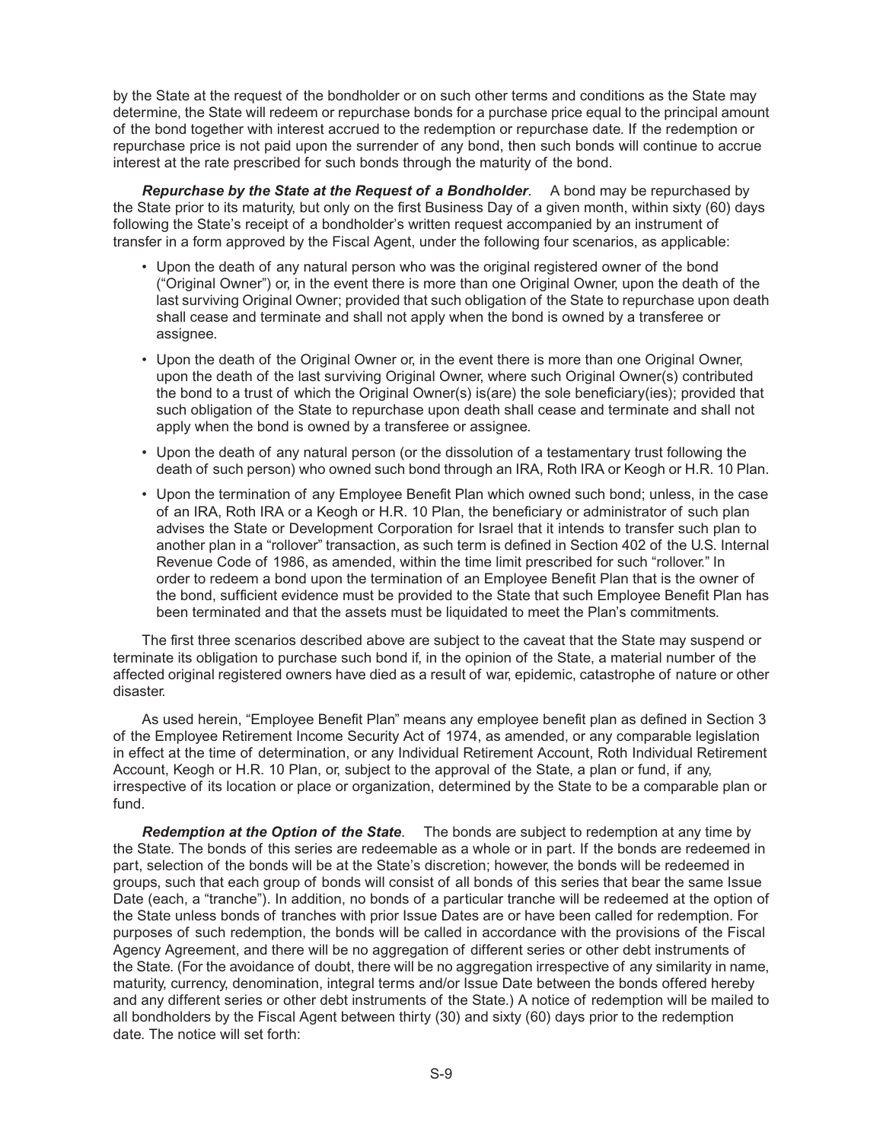by the State at the request of the bondholder or on such other terms and conditions as the State may determine, the State will redeem or repurchase bonds for a purchase price equal to the principal amount of the bond together with interest accrued to the redemption or repurchase date. If the redemption or repurchase price is not paid upon the surrender of any bond, then such bonds will continue to accrue interest at the rate prescribed for such bonds through the maturity of the bond.

*Repurchase by the State at the Request of a Bondholder*. A bond may be repurchased by the State prior to its maturity, but only on the first Business Day of a given month, within sixty (60) days following the State's receipt of a bondholder's written request accompanied by an instrument of transfer in a form approved by the Fiscal Agent, under the following four scenarios, as applicable:

- Upon the death of any natural person who was the original registered owner of the bond ("Original Owner") or, in the event there is more than one Original Owner, upon the death of the last surviving Original Owner; provided that such obligation of the State to repurchase upon death shall cease and terminate and shall not apply when the bond is owned by a transferee or assignee.
- Upon the death of the Original Owner or, in the event there is more than one Original Owner, upon the death of the last surviving Original Owner, where such Original Owner(s) contributed the bond to a trust of which the Original Owner(s) is(are) the sole beneficiary(ies); provided that such obligation of the State to repurchase upon death shall cease and terminate and shall not apply when the bond is owned by a transferee or assignee.
- Upon the death of any natural person (or the dissolution of a testamentary trust following the death of such person) who owned such bond through an IRA, Roth IRA or Keogh or H.R. 10 Plan.
- Upon the termination of any Employee Benefit Plan which owned such bond; unless, in the case of an IRA, Roth IRA or a Keogh or H.R. 10 Plan, the beneficiary or administrator of such plan advises the State or Development Corporation for Israel that it intends to transfer such plan to another plan in a "rollover" transaction, as such term is defined in Section 402 of the U.S. Internal Revenue Code of 1986, as amended, within the time limit prescribed for such "rollover." In order to redeem a bond upon the termination of an Employee Benefit Plan that is the owner of the bond, sufficient evidence must be provided to the State that such Employee Benefit Plan has been terminated and that the assets must be liquidated to meet the Plan's commitments.

The first three scenarios described above are subject to the caveat that the State may suspend or terminate its obligation to purchase such bond if, in the opinion of the State, a material number of the affected original registered owners have died as a result of war, epidemic, catastrophe of nature or other disaster.

As used herein, "Employee Benefit Plan" means any employee benefit plan as defined in Section 3 of the Employee Retirement Income Security Act of 1974, as amended, or any comparable legislation in effect at the time of determination, or any Individual Retirement Account, Roth Individual Retirement Account, Keogh or H.R. 10 Plan, or, subject to the approval of the State, a plan or fund, if any, irrespective of its location or place or organization, determined by the State to be a comparable plan or fund.

*Redemption at the Option of the State*. The bonds are subject to redemption at any time by the State. The bonds of this series are redeemable as a whole or in part. If the bonds are redeemed in part, selection of the bonds will be at the State's discretion; however, the bonds will be redeemed in groups, such that each group of bonds will consist of all bonds of this series that bear the same Issue Date (each, a "tranche"). In addition, no bonds of a particular tranche will be redeemed at the option of the State unless bonds of tranches with prior Issue Dates are or have been called for redemption. For purposes of such redemption, the bonds will be called in accordance with the provisions of the Fiscal Agency Agreement, and there will be no aggregation of different series or other debt instruments of the State. (For the avoidance of doubt, there will be no aggregation irrespective of any similarity in name, maturity, currency, denomination, integral terms and/or Issue Date between the bonds offered hereby and any different series or other debt instruments of the State.) A notice of redemption will be mailed to all bondholders by the Fiscal Agent between thirty (30) and sixty (60) days prior to the redemption date. The notice will set forth: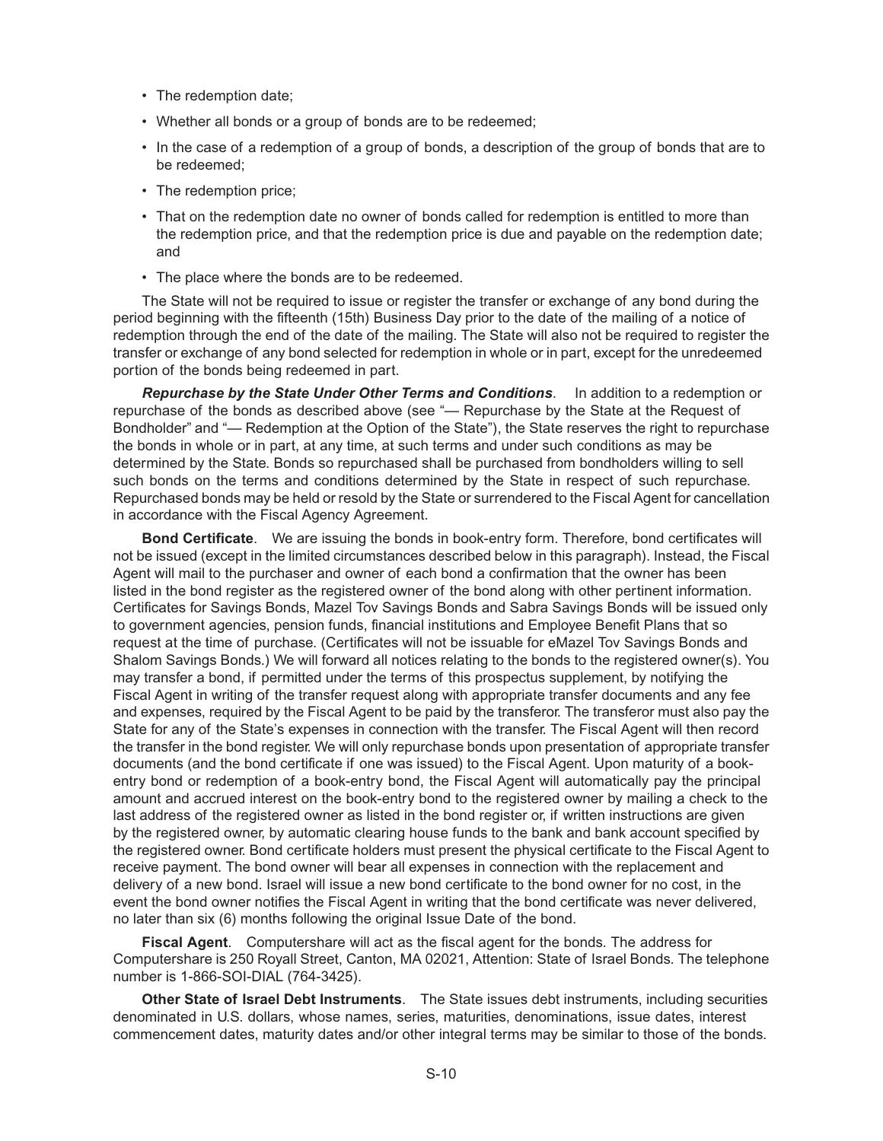- The redemption date;
- Whether all bonds or a group of bonds are to be redeemed;
- In the case of a redemption of a group of bonds, a description of the group of bonds that are to be redeemed;
- The redemption price;
- That on the redemption date no owner of bonds called for redemption is entitled to more than the redemption price, and that the redemption price is due and payable on the redemption date; and
- The place where the bonds are to be redeemed.

The State will not be required to issue or register the transfer or exchange of any bond during the period beginning with the fifteenth (15th) Business Day prior to the date of the mailing of a notice of redemption through the end of the date of the mailing. The State will also not be required to register the transfer or exchange of any bond selected for redemption in whole or in part, except for the unredeemed portion of the bonds being redeemed in part.

*Repurchase by the State Under Other Terms and Conditions*. In addition to a redemption or repurchase of the bonds as described above (see "— Repurchase by the State at the Request of Bondholder" and "— Redemption at the Option of the State"), the State reserves the right to repurchase the bonds in whole or in part, at any time, at such terms and under such conditions as may be determined by the State. Bonds so repurchased shall be purchased from bondholders willing to sell such bonds on the terms and conditions determined by the State in respect of such repurchase. Repurchased bonds may be held or resold by the State or surrendered to the Fiscal Agent for cancellation in accordance with the Fiscal Agency Agreement.

**Bond Certificate**. We are issuing the bonds in book-entry form. Therefore, bond certificates will not be issued (except in the limited circumstances described below in this paragraph). Instead, the Fiscal Agent will mail to the purchaser and owner of each bond a confirmation that the owner has been listed in the bond register as the registered owner of the bond along with other pertinent information. Certificates for Savings Bonds, Mazel Tov Savings Bonds and Sabra Savings Bonds will be issued only to government agencies, pension funds, financial institutions and Employee Benefit Plans that so request at the time of purchase. (Certificates will not be issuable for eMazel Tov Savings Bonds and Shalom Savings Bonds.) We will forward all notices relating to the bonds to the registered owner(s). You may transfer a bond, if permitted under the terms of this prospectus supplement, by notifying the Fiscal Agent in writing of the transfer request along with appropriate transfer documents and any fee and expenses, required by the Fiscal Agent to be paid by the transferor. The transferor must also pay the State for any of the State's expenses in connection with the transfer. The Fiscal Agent will then record the transfer in the bond register. We will only repurchase bonds upon presentation of appropriate transfer documents (and the bond certificate if one was issued) to the Fiscal Agent. Upon maturity of a bookentry bond or redemption of a book-entry bond, the Fiscal Agent will automatically pay the principal amount and accrued interest on the book-entry bond to the registered owner by mailing a check to the last address of the registered owner as listed in the bond register or, if written instructions are given by the registered owner, by automatic clearing house funds to the bank and bank account specified by the registered owner. Bond certificate holders must present the physical certificate to the Fiscal Agent to receive payment. The bond owner will bear all expenses in connection with the replacement and delivery of a new bond. Israel will issue a new bond certificate to the bond owner for no cost, in the event the bond owner notifies the Fiscal Agent in writing that the bond certificate was never delivered, no later than six (6) months following the original Issue Date of the bond.

**Fiscal Agent**. Computershare will act as the fiscal agent for the bonds. The address for Computershare is 250 Royall Street, Canton, MA 02021, Attention: State of Israel Bonds. The telephone number is 1-866-SOI-DIAL (764-3425).

**Other State of Israel Debt Instruments**. The State issues debt instruments, including securities denominated in U.S. dollars, whose names, series, maturities, denominations, issue dates, interest commencement dates, maturity dates and/or other integral terms may be similar to those of the bonds.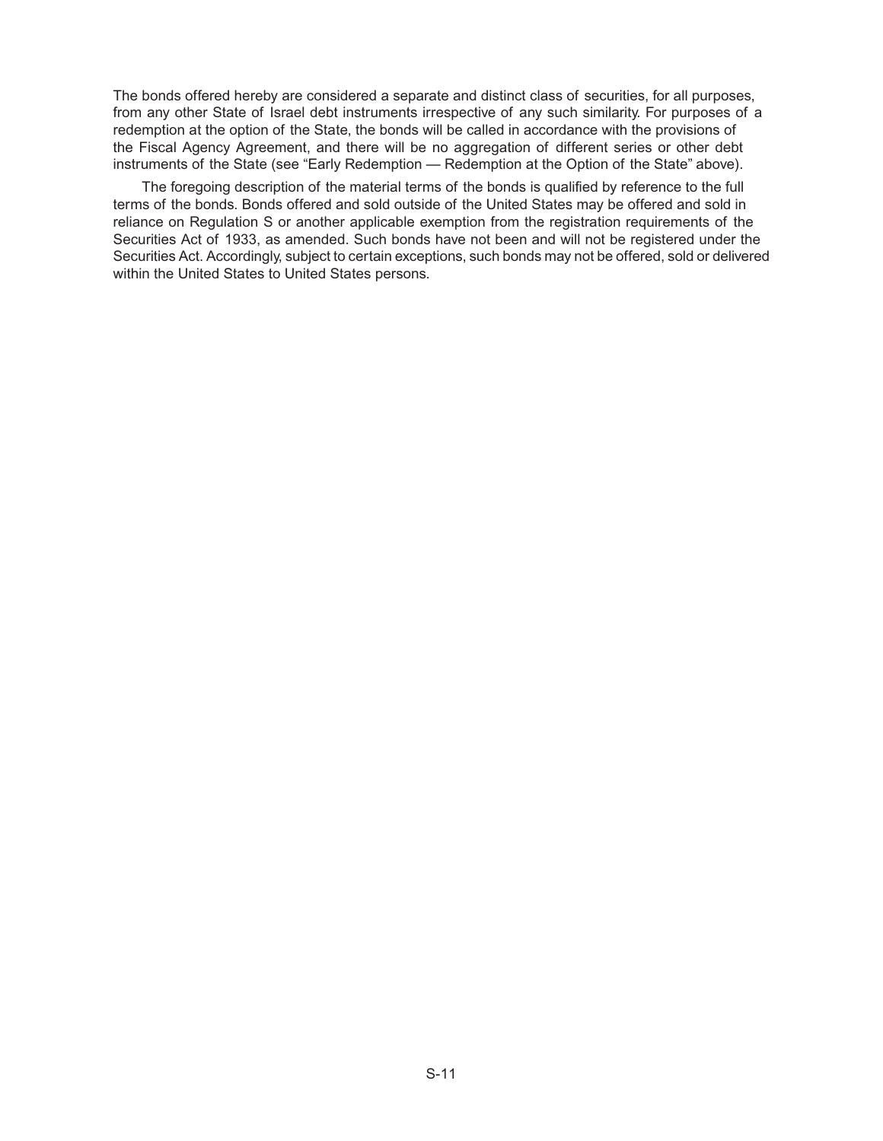The bonds offered hereby are considered a separate and distinct class of securities, for all purposes, from any other State of Israel debt instruments irrespective of any such similarity. For purposes of a redemption at the option of the State, the bonds will be called in accordance with the provisions of the Fiscal Agency Agreement, and there will be no aggregation of different series or other debt instruments of the State (see "Early Redemption — Redemption at the Option of the State" above).

The foregoing description of the material terms of the bonds is qualified by reference to the full terms of the bonds. Bonds offered and sold outside of the United States may be offered and sold in reliance on Regulation S or another applicable exemption from the registration requirements of the Securities Act of 1933, as amended. Such bonds have not been and will not be registered under the Securities Act. Accordingly, subject to certain exceptions, such bonds may not be offered, sold or delivered within the United States to United States persons.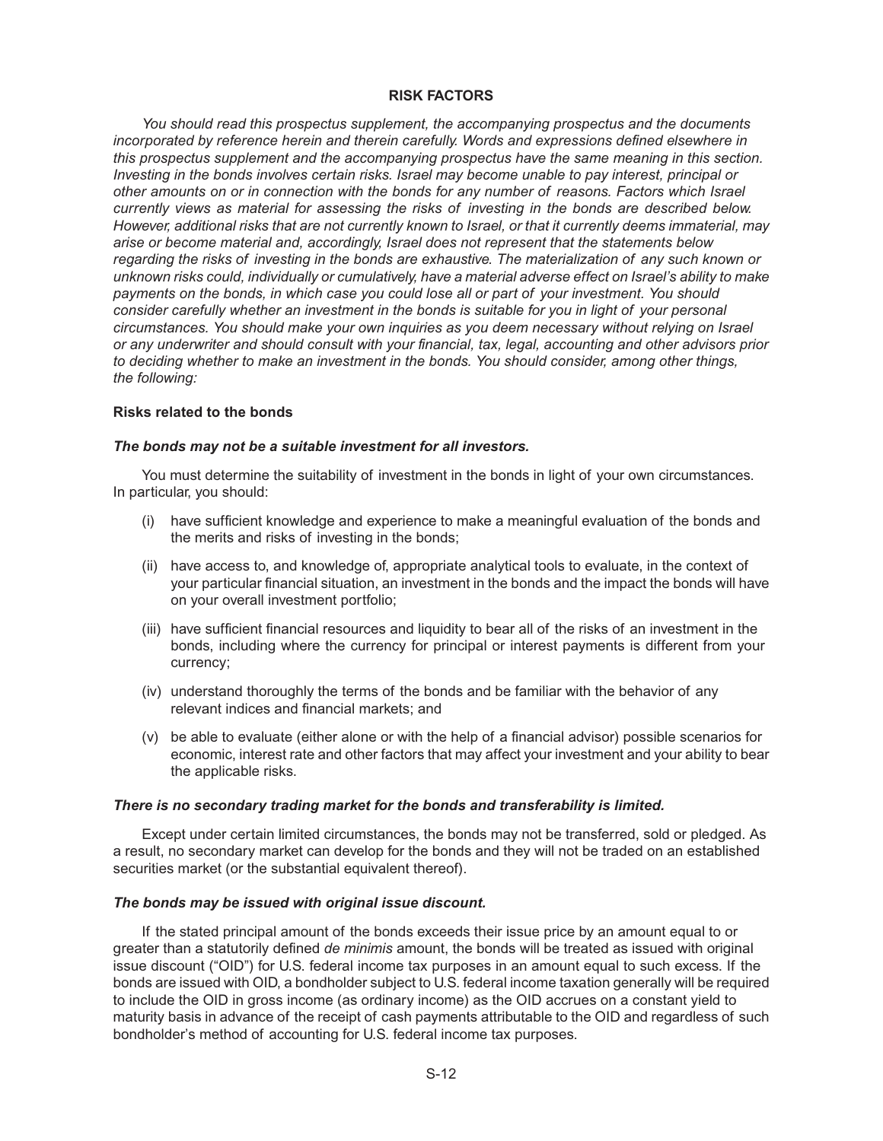## **RISK FACTORS**

*You should read this prospectus supplement, the accompanying prospectus and the documents incorporated by reference herein and therein carefully. Words and expressions defined elsewhere in this prospectus supplement and the accompanying prospectus have the same meaning in this section. Investing in the bonds involves certain risks. Israel may become unable to pay interest, principal or other amounts on or in connection with the bonds for any number of reasons. Factors which Israel currently views as material for assessing the risks of investing in the bonds are described below. However, additional risks that are not currently known to Israel, or that it currently deems immaterial, may arise or become material and, accordingly, Israel does not represent that the statements below regarding the risks of investing in the bonds are exhaustive. The materialization of any such known or unknown risks could, individually or cumulatively, have a material adverse effect on Israel's ability to make payments on the bonds, in which case you could lose all or part of your investment. You should consider carefully whether an investment in the bonds is suitable for you in light of your personal circumstances. You should make your own inquiries as you deem necessary without relying on Israel or any underwriter and should consult with your financial, tax, legal, accounting and other advisors prior to deciding whether to make an investment in the bonds. You should consider, among other things, the following:*

## **Risks related to the bonds**

## *The bonds may not be a suitable investment for all investors.*

You must determine the suitability of investment in the bonds in light of your own circumstances. In particular, you should:

- (i) have sufficient knowledge and experience to make a meaningful evaluation of the bonds and the merits and risks of investing in the bonds;
- (ii) have access to, and knowledge of, appropriate analytical tools to evaluate, in the context of your particular financial situation, an investment in the bonds and the impact the bonds will have on your overall investment portfolio;
- (iii) have sufficient financial resources and liquidity to bear all of the risks of an investment in the bonds, including where the currency for principal or interest payments is different from your currency;
- (iv) understand thoroughly the terms of the bonds and be familiar with the behavior of any relevant indices and financial markets; and
- (v) be able to evaluate (either alone or with the help of a financial advisor) possible scenarios for economic, interest rate and other factors that may affect your investment and your ability to bear the applicable risks.

## *There is no secondary trading market for the bonds and transferability is limited.*

Except under certain limited circumstances, the bonds may not be transferred, sold or pledged. As a result, no secondary market can develop for the bonds and they will not be traded on an established securities market (or the substantial equivalent thereof).

## *The bonds may be issued with original issue discount.*

If the stated principal amount of the bonds exceeds their issue price by an amount equal to or greater than a statutorily defined *de minimis* amount, the bonds will be treated as issued with original issue discount ("OID") for U.S. federal income tax purposes in an amount equal to such excess. If the bonds are issued with OID, a bondholder subject to U.S. federal income taxation generally will be required to include the OID in gross income (as ordinary income) as the OID accrues on a constant yield to maturity basis in advance of the receipt of cash payments attributable to the OID and regardless of such bondholder's method of accounting for U.S. federal income tax purposes.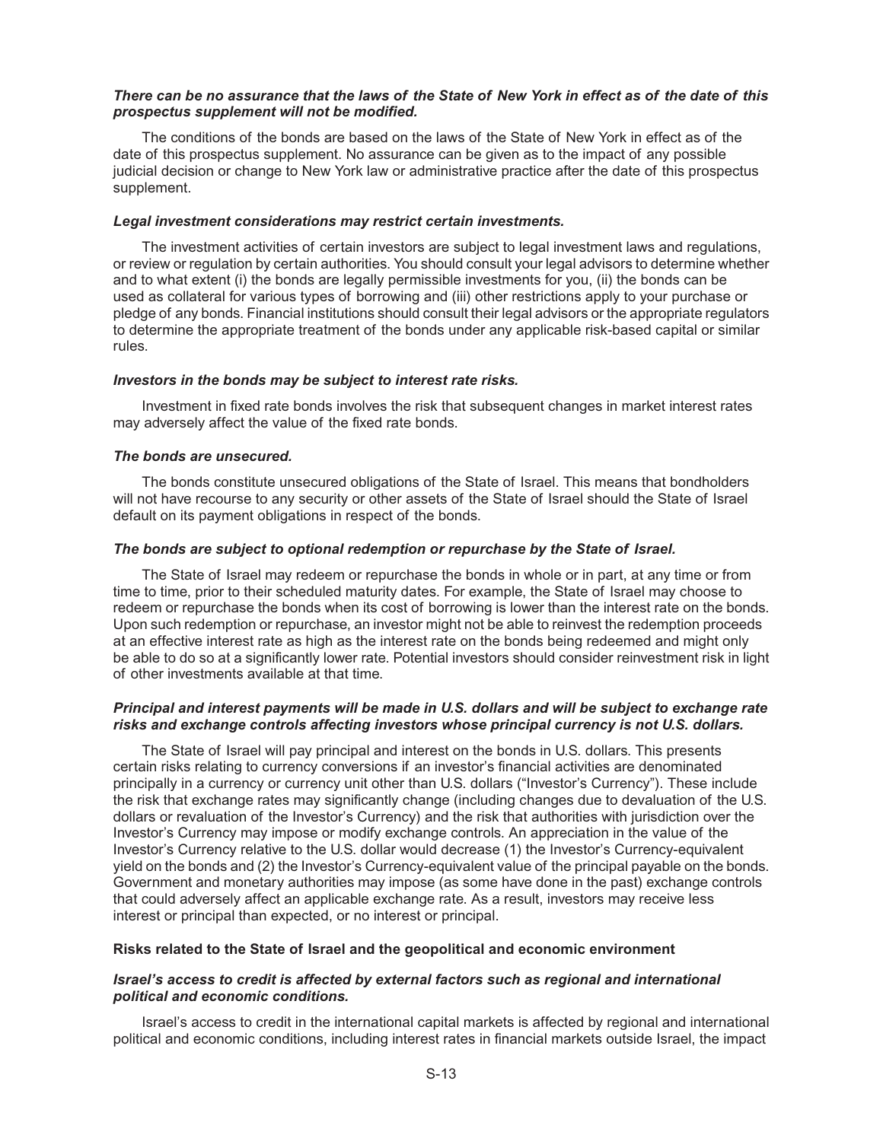## *There can be no assurance that the laws of the State of New York in effect as of the date of this prospectus supplement will not be modified.*

The conditions of the bonds are based on the laws of the State of New York in effect as of the date of this prospectus supplement. No assurance can be given as to the impact of any possible judicial decision or change to New York law or administrative practice after the date of this prospectus supplement.

#### *Legal investment considerations may restrict certain investments.*

The investment activities of certain investors are subject to legal investment laws and regulations, or review or regulation by certain authorities. You should consult your legal advisors to determine whether and to what extent (i) the bonds are legally permissible investments for you, (ii) the bonds can be used as collateral for various types of borrowing and (iii) other restrictions apply to your purchase or pledge of any bonds. Financial institutions should consult their legal advisors or the appropriate regulators to determine the appropriate treatment of the bonds under any applicable risk-based capital or similar rules.

#### *Investors in the bonds may be subject to interest rate risks.*

Investment in fixed rate bonds involves the risk that subsequent changes in market interest rates may adversely affect the value of the fixed rate bonds.

#### *The bonds are unsecured.*

The bonds constitute unsecured obligations of the State of Israel. This means that bondholders will not have recourse to any security or other assets of the State of Israel should the State of Israel default on its payment obligations in respect of the bonds.

## *The bonds are subject to optional redemption or repurchase by the State of Israel.*

The State of Israel may redeem or repurchase the bonds in whole or in part, at any time or from time to time, prior to their scheduled maturity dates. For example, the State of Israel may choose to redeem or repurchase the bonds when its cost of borrowing is lower than the interest rate on the bonds. Upon such redemption or repurchase, an investor might not be able to reinvest the redemption proceeds at an effective interest rate as high as the interest rate on the bonds being redeemed and might only be able to do so at a significantly lower rate. Potential investors should consider reinvestment risk in light of other investments available at that time.

## *Principal and interest payments will be made in U.S. dollars and will be subject to exchange rate risks and exchange controls affecting investors whose principal currency is not U.S. dollars.*

The State of Israel will pay principal and interest on the bonds in U.S. dollars. This presents certain risks relating to currency conversions if an investor's financial activities are denominated principally in a currency or currency unit other than U.S. dollars ("Investor's Currency"). These include the risk that exchange rates may significantly change (including changes due to devaluation of the U.S. dollars or revaluation of the Investor's Currency) and the risk that authorities with jurisdiction over the Investor's Currency may impose or modify exchange controls. An appreciation in the value of the Investor's Currency relative to the U.S. dollar would decrease (1) the Investor's Currency-equivalent yield on the bonds and (2) the Investor's Currency-equivalent value of the principal payable on the bonds. Government and monetary authorities may impose (as some have done in the past) exchange controls that could adversely affect an applicable exchange rate. As a result, investors may receive less interest or principal than expected, or no interest or principal.

#### **Risks related to the State of Israel and the geopolitical and economic environment**

## *Israel's access to credit is affected by external factors such as regional and international political and economic conditions.*

Israel's access to credit in the international capital markets is affected by regional and international political and economic conditions, including interest rates in financial markets outside Israel, the impact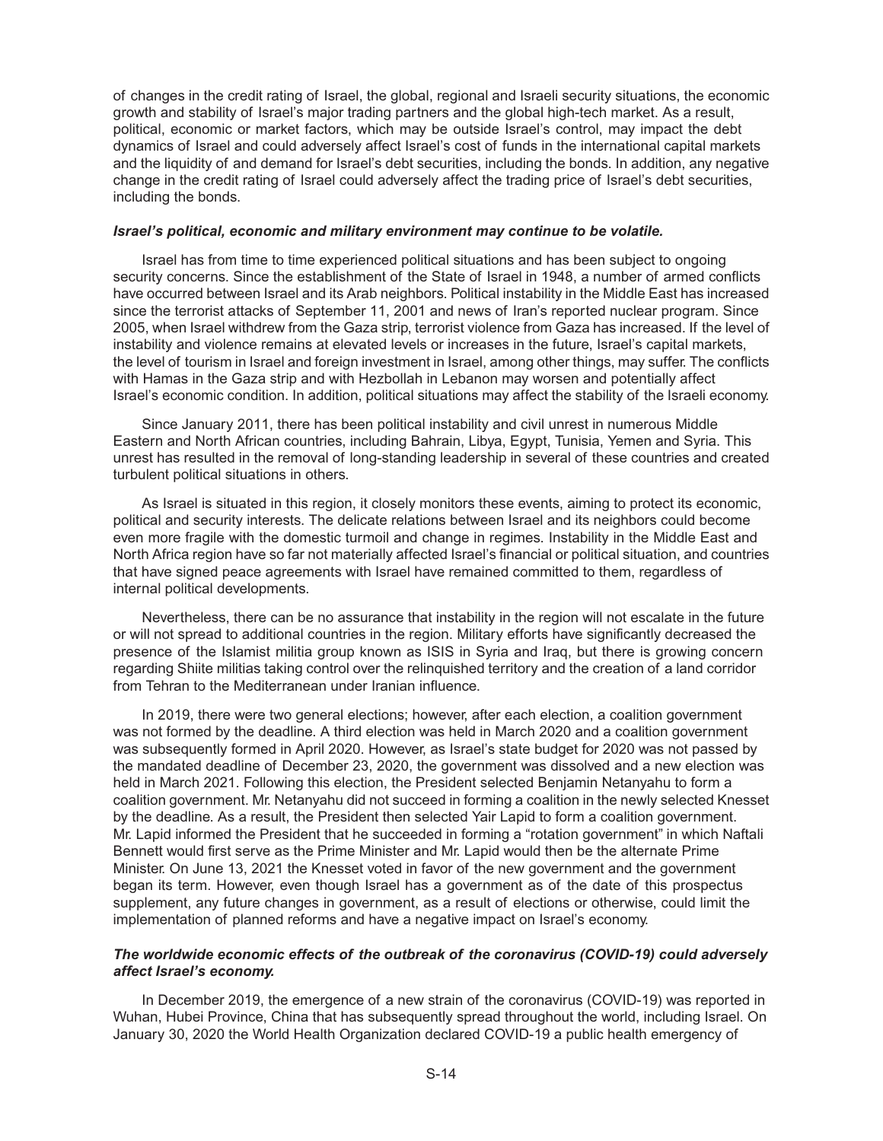of changes in the credit rating of Israel, the global, regional and Israeli security situations, the economic growth and stability of Israel's major trading partners and the global high-tech market. As a result, political, economic or market factors, which may be outside Israel's control, may impact the debt dynamics of Israel and could adversely affect Israel's cost of funds in the international capital markets and the liquidity of and demand for Israel's debt securities, including the bonds. In addition, any negative change in the credit rating of Israel could adversely affect the trading price of Israel's debt securities, including the bonds.

#### *Israel's political, economic and military environment may continue to be volatile.*

Israel has from time to time experienced political situations and has been subject to ongoing security concerns. Since the establishment of the State of Israel in 1948, a number of armed conflicts have occurred between Israel and its Arab neighbors. Political instability in the Middle East has increased since the terrorist attacks of September 11, 2001 and news of Iran's reported nuclear program. Since 2005, when Israel withdrew from the Gaza strip, terrorist violence from Gaza has increased. If the level of instability and violence remains at elevated levels or increases in the future, Israel's capital markets, the level of tourism in Israel and foreign investment in Israel, among other things, may suffer. The conflicts with Hamas in the Gaza strip and with Hezbollah in Lebanon may worsen and potentially affect Israel's economic condition. In addition, political situations may affect the stability of the Israeli economy.

Since January 2011, there has been political instability and civil unrest in numerous Middle Eastern and North African countries, including Bahrain, Libya, Egypt, Tunisia, Yemen and Syria. This unrest has resulted in the removal of long-standing leadership in several of these countries and created turbulent political situations in others.

As Israel is situated in this region, it closely monitors these events, aiming to protect its economic, political and security interests. The delicate relations between Israel and its neighbors could become even more fragile with the domestic turmoil and change in regimes. Instability in the Middle East and North Africa region have so far not materially affected Israel's financial or political situation, and countries that have signed peace agreements with Israel have remained committed to them, regardless of internal political developments.

Nevertheless, there can be no assurance that instability in the region will not escalate in the future or will not spread to additional countries in the region. Military efforts have significantly decreased the presence of the Islamist militia group known as ISIS in Syria and Iraq, but there is growing concern regarding Shiite militias taking control over the relinquished territory and the creation of a land corridor from Tehran to the Mediterranean under Iranian influence.

In 2019, there were two general elections; however, after each election, a coalition government was not formed by the deadline. A third election was held in March 2020 and a coalition government was subsequently formed in April 2020. However, as Israel's state budget for 2020 was not passed by the mandated deadline of December 23, 2020, the government was dissolved and a new election was held in March 2021. Following this election, the President selected Benjamin Netanyahu to form a coalition government. Mr. Netanyahu did not succeed in forming a coalition in the newly selected Knesset by the deadline. As a result, the President then selected Yair Lapid to form a coalition government. Mr. Lapid informed the President that he succeeded in forming a "rotation government" in which Naftali Bennett would first serve as the Prime Minister and Mr. Lapid would then be the alternate Prime Minister. On June 13, 2021 the Knesset voted in favor of the new government and the government began its term. However, even though Israel has a government as of the date of this prospectus supplement, any future changes in government, as a result of elections or otherwise, could limit the implementation of planned reforms and have a negative impact on Israel's economy.

## *The worldwide economic effects of the outbreak of the coronavirus (COVID-19) could adversely affect Israel's economy.*

In December 2019, the emergence of a new strain of the coronavirus (COVID-19) was reported in Wuhan, Hubei Province, China that has subsequently spread throughout the world, including Israel. On January 30, 2020 the World Health Organization declared COVID-19 a public health emergency of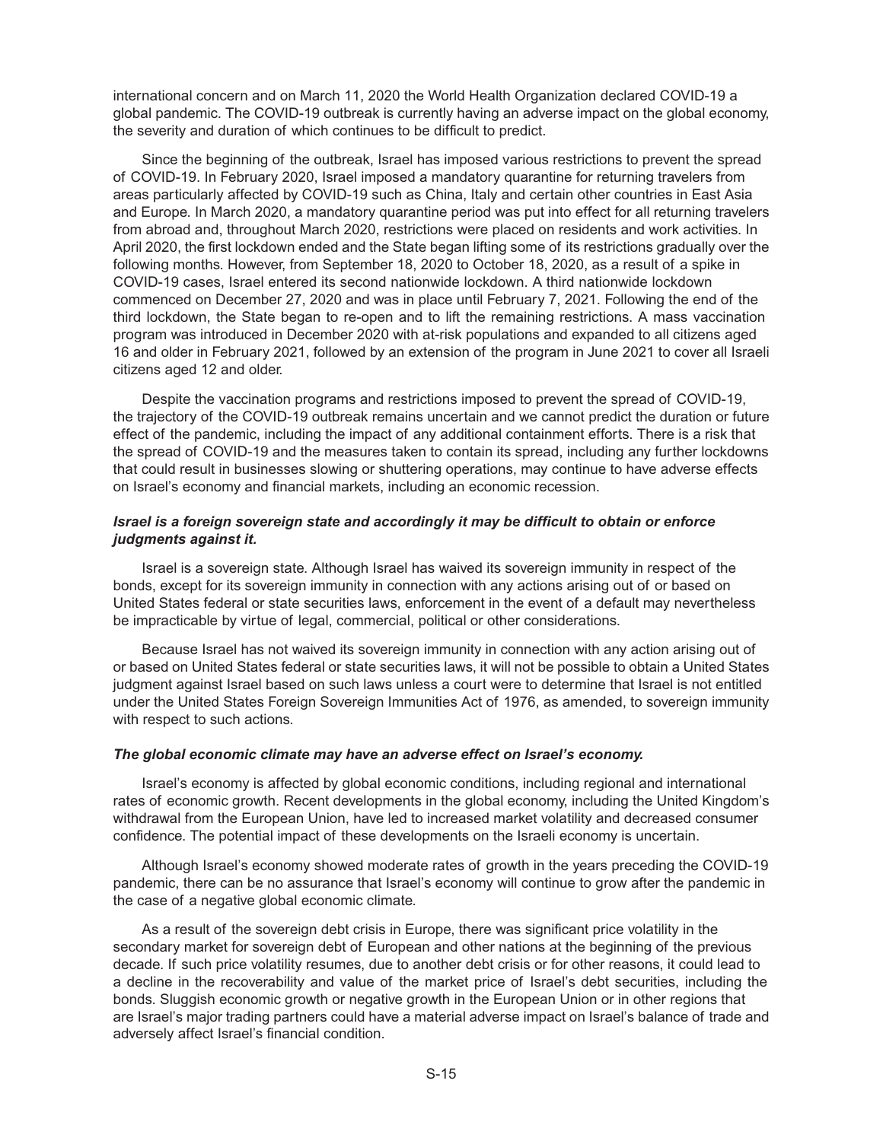international concern and on March 11, 2020 the World Health Organization declared COVID-19 a global pandemic. The COVID-19 outbreak is currently having an adverse impact on the global economy, the severity and duration of which continues to be difficult to predict.

Since the beginning of the outbreak, Israel has imposed various restrictions to prevent the spread of COVID-19. In February 2020, Israel imposed a mandatory quarantine for returning travelers from areas particularly affected by COVID-19 such as China, Italy and certain other countries in East Asia and Europe. In March 2020, a mandatory quarantine period was put into effect for all returning travelers from abroad and, throughout March 2020, restrictions were placed on residents and work activities. In April 2020, the first lockdown ended and the State began lifting some of its restrictions gradually over the following months. However, from September 18, 2020 to October 18, 2020, as a result of a spike in COVID-19 cases, Israel entered its second nationwide lockdown. A third nationwide lockdown commenced on December 27, 2020 and was in place until February 7, 2021. Following the end of the third lockdown, the State began to re-open and to lift the remaining restrictions. A mass vaccination program was introduced in December 2020 with at-risk populations and expanded to all citizens aged 16 and older in February 2021, followed by an extension of the program in June 2021 to cover all Israeli citizens aged 12 and older.

Despite the vaccination programs and restrictions imposed to prevent the spread of COVID-19, the trajectory of the COVID-19 outbreak remains uncertain and we cannot predict the duration or future effect of the pandemic, including the impact of any additional containment efforts. There is a risk that the spread of COVID-19 and the measures taken to contain its spread, including any further lockdowns that could result in businesses slowing or shuttering operations, may continue to have adverse effects on Israel's economy and financial markets, including an economic recession.

## *Israel is a foreign sovereign state and accordingly it may be difficult to obtain or enforce judgments against it.*

Israel is a sovereign state. Although Israel has waived its sovereign immunity in respect of the bonds, except for its sovereign immunity in connection with any actions arising out of or based on United States federal or state securities laws, enforcement in the event of a default may nevertheless be impracticable by virtue of legal, commercial, political or other considerations.

Because Israel has not waived its sovereign immunity in connection with any action arising out of or based on United States federal or state securities laws, it will not be possible to obtain a United States judgment against Israel based on such laws unless a court were to determine that Israel is not entitled under the United States Foreign Sovereign Immunities Act of 1976, as amended, to sovereign immunity with respect to such actions.

## *The global economic climate may have an adverse effect on Israel's economy.*

Israel's economy is affected by global economic conditions, including regional and international rates of economic growth. Recent developments in the global economy, including the United Kingdom's withdrawal from the European Union, have led to increased market volatility and decreased consumer confidence. The potential impact of these developments on the Israeli economy is uncertain.

Although Israel's economy showed moderate rates of growth in the years preceding the COVID-19 pandemic, there can be no assurance that Israel's economy will continue to grow after the pandemic in the case of a negative global economic climate.

As a result of the sovereign debt crisis in Europe, there was significant price volatility in the secondary market for sovereign debt of European and other nations at the beginning of the previous decade. If such price volatility resumes, due to another debt crisis or for other reasons, it could lead to a decline in the recoverability and value of the market price of Israel's debt securities, including the bonds. Sluggish economic growth or negative growth in the European Union or in other regions that are Israel's major trading partners could have a material adverse impact on Israel's balance of trade and adversely affect Israel's financial condition.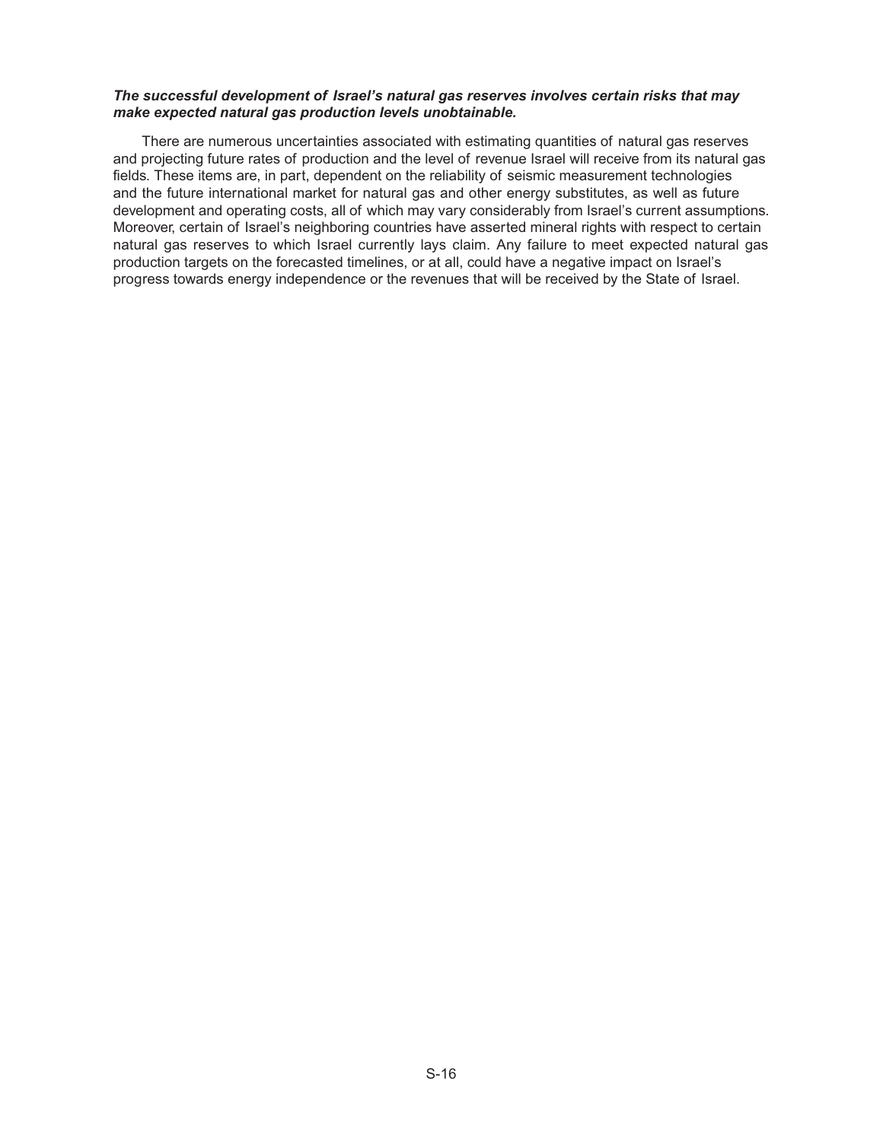## *The successful development of Israel's natural gas reserves involves certain risks that may make expected natural gas production levels unobtainable.*

There are numerous uncertainties associated with estimating quantities of natural gas reserves and projecting future rates of production and the level of revenue Israel will receive from its natural gas fields. These items are, in part, dependent on the reliability of seismic measurement technologies and the future international market for natural gas and other energy substitutes, as well as future development and operating costs, all of which may vary considerably from Israel's current assumptions. Moreover, certain of Israel's neighboring countries have asserted mineral rights with respect to certain natural gas reserves to which Israel currently lays claim. Any failure to meet expected natural gas production targets on the forecasted timelines, or at all, could have a negative impact on Israel's progress towards energy independence or the revenues that will be received by the State of Israel.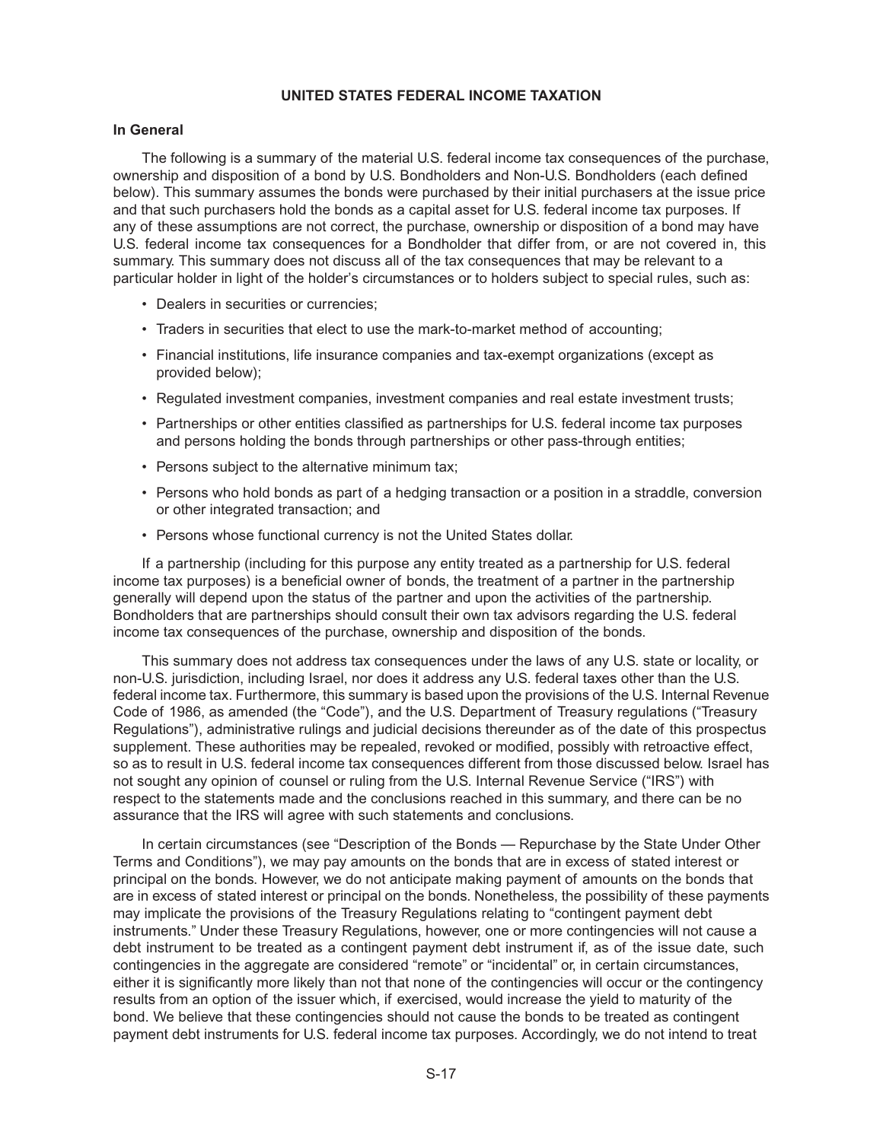## **UNITED STATES FEDERAL INCOME TAXATION**

## **In General**

The following is a summary of the material U.S. federal income tax consequences of the purchase, ownership and disposition of a bond by U.S. Bondholders and Non-U.S. Bondholders (each defined below). This summary assumes the bonds were purchased by their initial purchasers at the issue price and that such purchasers hold the bonds as a capital asset for U.S. federal income tax purposes. If any of these assumptions are not correct, the purchase, ownership or disposition of a bond may have U.S. federal income tax consequences for a Bondholder that differ from, or are not covered in, this summary. This summary does not discuss all of the tax consequences that may be relevant to a particular holder in light of the holder's circumstances or to holders subject to special rules, such as:

- Dealers in securities or currencies;
- Traders in securities that elect to use the mark-to-market method of accounting;
- Financial institutions, life insurance companies and tax-exempt organizations (except as provided below);
- Regulated investment companies, investment companies and real estate investment trusts;
- Partnerships or other entities classified as partnerships for U.S. federal income tax purposes and persons holding the bonds through partnerships or other pass-through entities;
- Persons subject to the alternative minimum tax;
- Persons who hold bonds as part of a hedging transaction or a position in a straddle, conversion or other integrated transaction; and
- Persons whose functional currency is not the United States dollar.

If a partnership (including for this purpose any entity treated as a partnership for U.S. federal income tax purposes) is a beneficial owner of bonds, the treatment of a partner in the partnership generally will depend upon the status of the partner and upon the activities of the partnership. Bondholders that are partnerships should consult their own tax advisors regarding the U.S. federal income tax consequences of the purchase, ownership and disposition of the bonds.

This summary does not address tax consequences under the laws of any U.S. state or locality, or non-U.S. jurisdiction, including Israel, nor does it address any U.S. federal taxes other than the U.S. federal income tax. Furthermore, this summary is based upon the provisions of the U.S. Internal Revenue Code of 1986, as amended (the "Code"), and the U.S. Department of Treasury regulations ("Treasury Regulations"), administrative rulings and judicial decisions thereunder as of the date of this prospectus supplement. These authorities may be repealed, revoked or modified, possibly with retroactive effect, so as to result in U.S. federal income tax consequences different from those discussed below. Israel has not sought any opinion of counsel or ruling from the U.S. Internal Revenue Service ("IRS") with respect to the statements made and the conclusions reached in this summary, and there can be no assurance that the IRS will agree with such statements and conclusions.

In certain circumstances (see "Description of the Bonds — Repurchase by the State Under Other Terms and Conditions"), we may pay amounts on the bonds that are in excess of stated interest or principal on the bonds. However, we do not anticipate making payment of amounts on the bonds that are in excess of stated interest or principal on the bonds. Nonetheless, the possibility of these payments may implicate the provisions of the Treasury Regulations relating to "contingent payment debt instruments." Under these Treasury Regulations, however, one or more contingencies will not cause a debt instrument to be treated as a contingent payment debt instrument if, as of the issue date, such contingencies in the aggregate are considered "remote" or "incidental" or, in certain circumstances, either it is significantly more likely than not that none of the contingencies will occur or the contingency results from an option of the issuer which, if exercised, would increase the yield to maturity of the bond. We believe that these contingencies should not cause the bonds to be treated as contingent payment debt instruments for U.S. federal income tax purposes. Accordingly, we do not intend to treat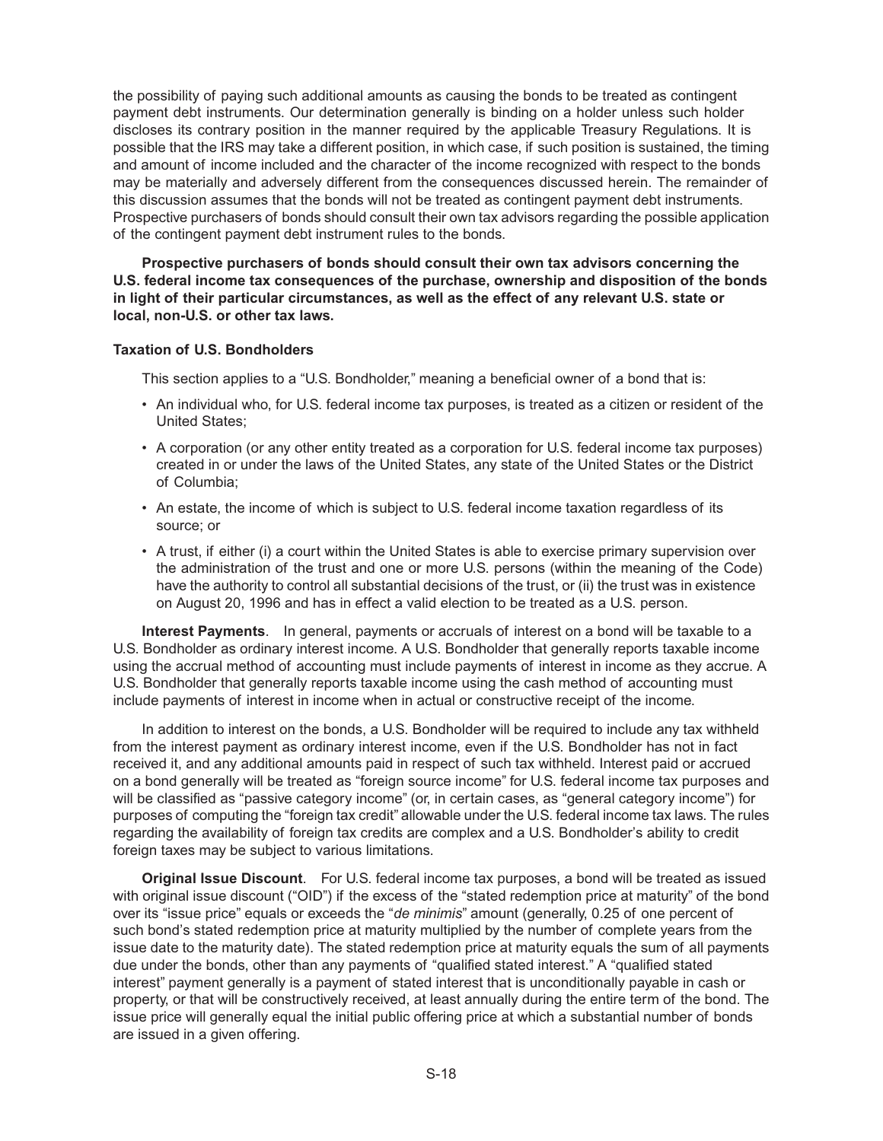the possibility of paying such additional amounts as causing the bonds to be treated as contingent payment debt instruments. Our determination generally is binding on a holder unless such holder discloses its contrary position in the manner required by the applicable Treasury Regulations. It is possible that the IRS may take a different position, in which case, if such position is sustained, the timing and amount of income included and the character of the income recognized with respect to the bonds may be materially and adversely different from the consequences discussed herein. The remainder of this discussion assumes that the bonds will not be treated as contingent payment debt instruments. Prospective purchasers of bonds should consult their own tax advisors regarding the possible application of the contingent payment debt instrument rules to the bonds.

**Prospective purchasers of bonds should consult their own tax advisors concerning the U.S. federal income tax consequences of the purchase, ownership and disposition of the bonds in light of their particular circumstances, as well as the effect of any relevant U.S. state or local, non-U.S. or other tax laws.**

## **Taxation of U.S. Bondholders**

This section applies to a "U.S. Bondholder," meaning a beneficial owner of a bond that is:

- An individual who, for U.S. federal income tax purposes, is treated as a citizen or resident of the United States;
- A corporation (or any other entity treated as a corporation for U.S. federal income tax purposes) created in or under the laws of the United States, any state of the United States or the District of Columbia;
- An estate, the income of which is subject to U.S. federal income taxation regardless of its source; or
- A trust, if either (i) a court within the United States is able to exercise primary supervision over the administration of the trust and one or more U.S. persons (within the meaning of the Code) have the authority to control all substantial decisions of the trust, or (ii) the trust was in existence on August 20, 1996 and has in effect a valid election to be treated as a U.S. person.

**Interest Payments**. In general, payments or accruals of interest on a bond will be taxable to a U.S. Bondholder as ordinary interest income. A U.S. Bondholder that generally reports taxable income using the accrual method of accounting must include payments of interest in income as they accrue. A U.S. Bondholder that generally reports taxable income using the cash method of accounting must include payments of interest in income when in actual or constructive receipt of the income.

In addition to interest on the bonds, a U.S. Bondholder will be required to include any tax withheld from the interest payment as ordinary interest income, even if the U.S. Bondholder has not in fact received it, and any additional amounts paid in respect of such tax withheld. Interest paid or accrued on a bond generally will be treated as "foreign source income" for U.S. federal income tax purposes and will be classified as "passive category income" (or, in certain cases, as "general category income") for purposes of computing the "foreign tax credit" allowable under the U.S. federal income tax laws. The rules regarding the availability of foreign tax credits are complex and a U.S. Bondholder's ability to credit foreign taxes may be subject to various limitations.

**Original Issue Discount**. For U.S. federal income tax purposes, a bond will be treated as issued with original issue discount ("OID") if the excess of the "stated redemption price at maturity" of the bond over its "issue price" equals or exceeds the "*de minimis*" amount (generally, 0.25 of one percent of such bond's stated redemption price at maturity multiplied by the number of complete years from the issue date to the maturity date). The stated redemption price at maturity equals the sum of all payments due under the bonds, other than any payments of "qualified stated interest." A "qualified stated interest" payment generally is a payment of stated interest that is unconditionally payable in cash or property, or that will be constructively received, at least annually during the entire term of the bond. The issue price will generally equal the initial public offering price at which a substantial number of bonds are issued in a given offering.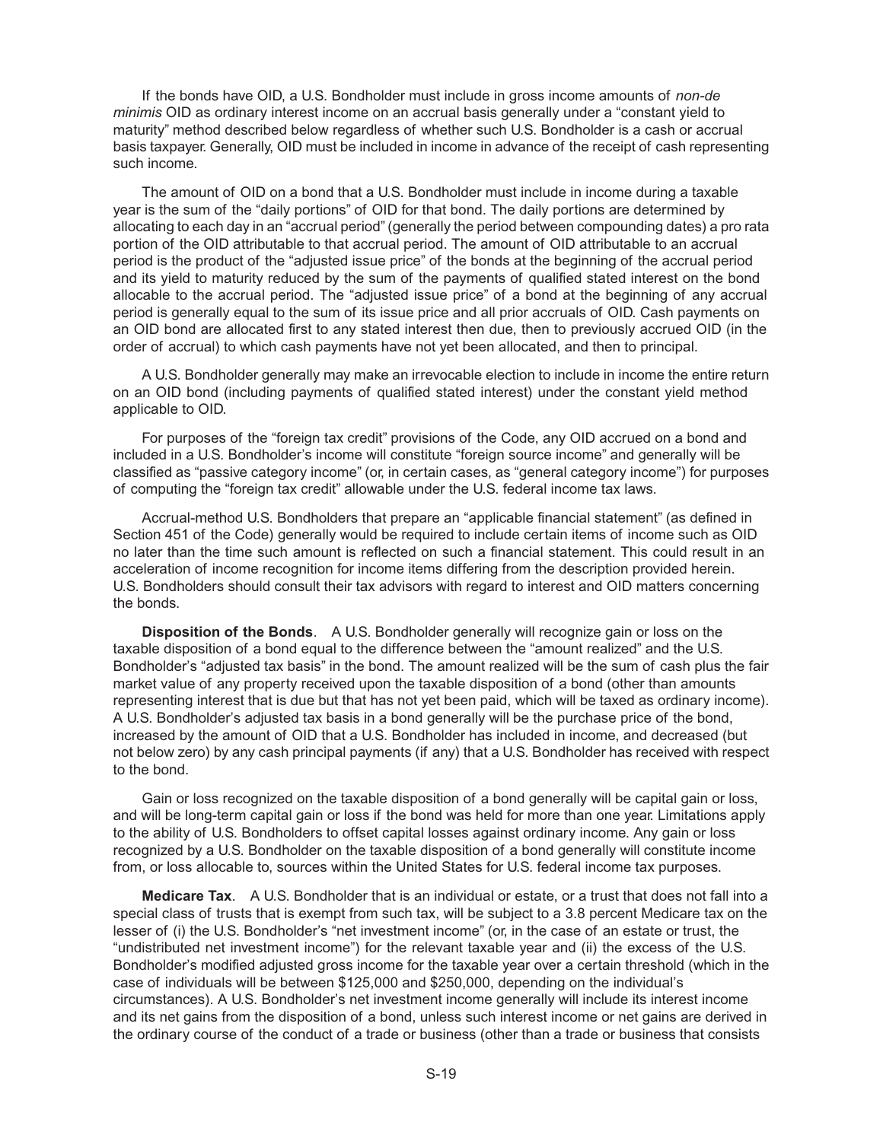If the bonds have OID, a U.S. Bondholder must include in gross income amounts of *non-de minimis* OID as ordinary interest income on an accrual basis generally under a "constant yield to maturity" method described below regardless of whether such U.S. Bondholder is a cash or accrual basis taxpayer. Generally, OID must be included in income in advance of the receipt of cash representing such income.

The amount of OID on a bond that a U.S. Bondholder must include in income during a taxable year is the sum of the "daily portions" of OID for that bond. The daily portions are determined by allocating to each day in an "accrual period" (generally the period between compounding dates) a pro rata portion of the OID attributable to that accrual period. The amount of OID attributable to an accrual period is the product of the "adjusted issue price" of the bonds at the beginning of the accrual period and its yield to maturity reduced by the sum of the payments of qualified stated interest on the bond allocable to the accrual period. The "adjusted issue price" of a bond at the beginning of any accrual period is generally equal to the sum of its issue price and all prior accruals of OID. Cash payments on an OID bond are allocated first to any stated interest then due, then to previously accrued OID (in the order of accrual) to which cash payments have not yet been allocated, and then to principal.

A U.S. Bondholder generally may make an irrevocable election to include in income the entire return on an OID bond (including payments of qualified stated interest) under the constant yield method applicable to OID.

For purposes of the "foreign tax credit" provisions of the Code, any OID accrued on a bond and included in a U.S. Bondholder's income will constitute "foreign source income" and generally will be classified as "passive category income" (or, in certain cases, as "general category income") for purposes of computing the "foreign tax credit" allowable under the U.S. federal income tax laws.

Accrual-method U.S. Bondholders that prepare an "applicable financial statement" (as defined in Section 451 of the Code) generally would be required to include certain items of income such as OID no later than the time such amount is reflected on such a financial statement. This could result in an acceleration of income recognition for income items differing from the description provided herein. U.S. Bondholders should consult their tax advisors with regard to interest and OID matters concerning the bonds.

**Disposition of the Bonds**. A U.S. Bondholder generally will recognize gain or loss on the taxable disposition of a bond equal to the difference between the "amount realized" and the U.S. Bondholder's "adjusted tax basis" in the bond. The amount realized will be the sum of cash plus the fair market value of any property received upon the taxable disposition of a bond (other than amounts representing interest that is due but that has not yet been paid, which will be taxed as ordinary income). A U.S. Bondholder's adjusted tax basis in a bond generally will be the purchase price of the bond, increased by the amount of OID that a U.S. Bondholder has included in income, and decreased (but not below zero) by any cash principal payments (if any) that a U.S. Bondholder has received with respect to the bond.

Gain or loss recognized on the taxable disposition of a bond generally will be capital gain or loss, and will be long-term capital gain or loss if the bond was held for more than one year. Limitations apply to the ability of U.S. Bondholders to offset capital losses against ordinary income. Any gain or loss recognized by a U.S. Bondholder on the taxable disposition of a bond generally will constitute income from, or loss allocable to, sources within the United States for U.S. federal income tax purposes.

**Medicare Tax**. A U.S. Bondholder that is an individual or estate, or a trust that does not fall into a special class of trusts that is exempt from such tax, will be subject to a 3.8 percent Medicare tax on the lesser of (i) the U.S. Bondholder's "net investment income" (or, in the case of an estate or trust, the "undistributed net investment income") for the relevant taxable year and (ii) the excess of the U.S. Bondholder's modified adjusted gross income for the taxable year over a certain threshold (which in the case of individuals will be between \$125,000 and \$250,000, depending on the individual's circumstances). A U.S. Bondholder's net investment income generally will include its interest income and its net gains from the disposition of a bond, unless such interest income or net gains are derived in the ordinary course of the conduct of a trade or business (other than a trade or business that consists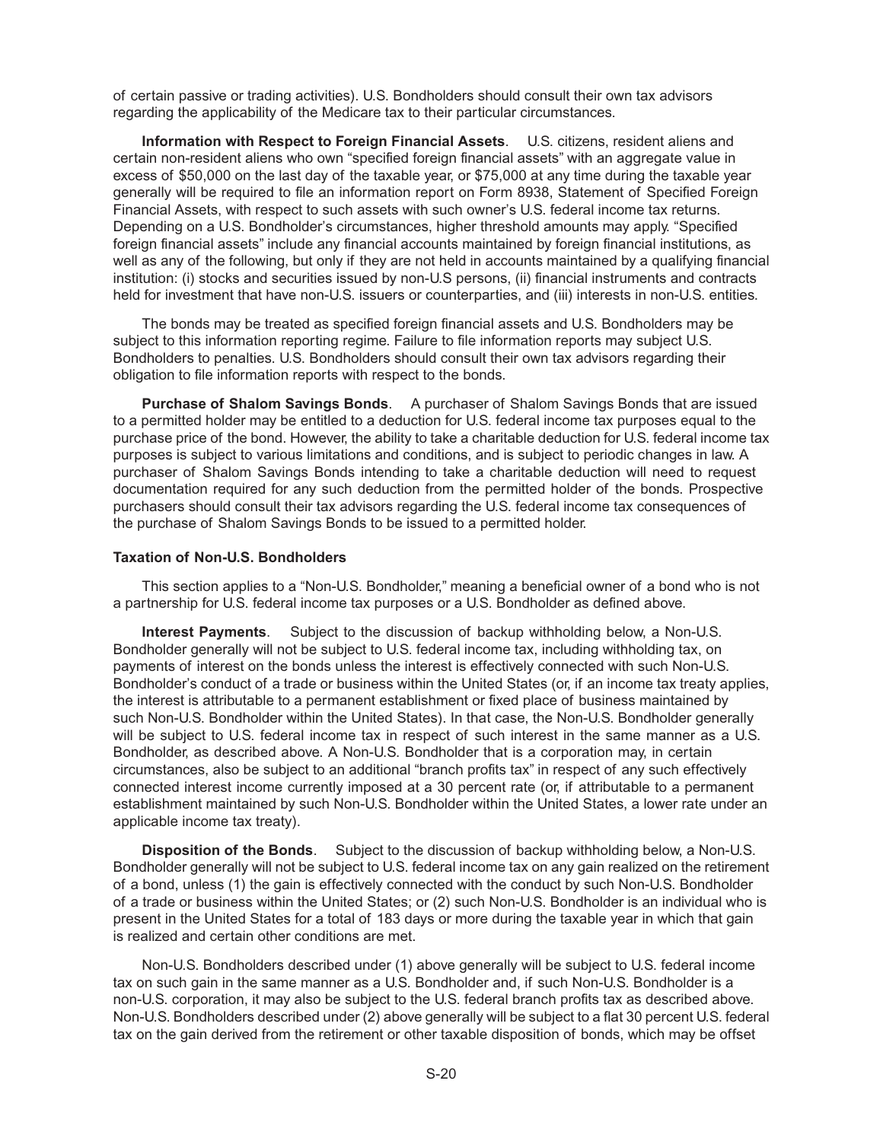of certain passive or trading activities). U.S. Bondholders should consult their own tax advisors regarding the applicability of the Medicare tax to their particular circumstances.

**Information with Respect to Foreign Financial Assets**. U.S. citizens, resident aliens and certain non-resident aliens who own "specified foreign financial assets" with an aggregate value in excess of \$50,000 on the last day of the taxable year, or \$75,000 at any time during the taxable year generally will be required to file an information report on Form 8938, Statement of Specified Foreign Financial Assets, with respect to such assets with such owner's U.S. federal income tax returns. Depending on a U.S. Bondholder's circumstances, higher threshold amounts may apply. "Specified foreign financial assets" include any financial accounts maintained by foreign financial institutions, as well as any of the following, but only if they are not held in accounts maintained by a qualifying financial institution: (i) stocks and securities issued by non-U.S persons, (ii) financial instruments and contracts held for investment that have non-U.S. issuers or counterparties, and (iii) interests in non-U.S. entities.

The bonds may be treated as specified foreign financial assets and U.S. Bondholders may be subject to this information reporting regime. Failure to file information reports may subject U.S. Bondholders to penalties. U.S. Bondholders should consult their own tax advisors regarding their obligation to file information reports with respect to the bonds.

**Purchase of Shalom Savings Bonds**. A purchaser of Shalom Savings Bonds that are issued to a permitted holder may be entitled to a deduction for U.S. federal income tax purposes equal to the purchase price of the bond. However, the ability to take a charitable deduction for U.S. federal income tax purposes is subject to various limitations and conditions, and is subject to periodic changes in law. A purchaser of Shalom Savings Bonds intending to take a charitable deduction will need to request documentation required for any such deduction from the permitted holder of the bonds. Prospective purchasers should consult their tax advisors regarding the U.S. federal income tax consequences of the purchase of Shalom Savings Bonds to be issued to a permitted holder.

#### **Taxation of Non-U.S. Bondholders**

This section applies to a "Non-U.S. Bondholder," meaning a beneficial owner of a bond who is not a partnership for U.S. federal income tax purposes or a U.S. Bondholder as defined above.

**Interest Payments**. Subject to the discussion of backup withholding below, a Non-U.S. Bondholder generally will not be subject to U.S. federal income tax, including withholding tax, on payments of interest on the bonds unless the interest is effectively connected with such Non-U.S. Bondholder's conduct of a trade or business within the United States (or, if an income tax treaty applies, the interest is attributable to a permanent establishment or fixed place of business maintained by such Non-U.S. Bondholder within the United States). In that case, the Non-U.S. Bondholder generally will be subject to U.S. federal income tax in respect of such interest in the same manner as a U.S. Bondholder, as described above. A Non-U.S. Bondholder that is a corporation may, in certain circumstances, also be subject to an additional "branch profits tax" in respect of any such effectively connected interest income currently imposed at a 30 percent rate (or, if attributable to a permanent establishment maintained by such Non-U.S. Bondholder within the United States, a lower rate under an applicable income tax treaty).

**Disposition of the Bonds**. Subject to the discussion of backup withholding below, a Non-U.S. Bondholder generally will not be subject to U.S. federal income tax on any gain realized on the retirement of a bond, unless (1) the gain is effectively connected with the conduct by such Non-U.S. Bondholder of a trade or business within the United States; or (2) such Non-U.S. Bondholder is an individual who is present in the United States for a total of 183 days or more during the taxable year in which that gain is realized and certain other conditions are met.

Non-U.S. Bondholders described under (1) above generally will be subject to U.S. federal income tax on such gain in the same manner as a U.S. Bondholder and, if such Non-U.S. Bondholder is a non-U.S. corporation, it may also be subject to the U.S. federal branch profits tax as described above. Non-U.S. Bondholders described under (2) above generally will be subject to a flat 30 percent U.S. federal tax on the gain derived from the retirement or other taxable disposition of bonds, which may be offset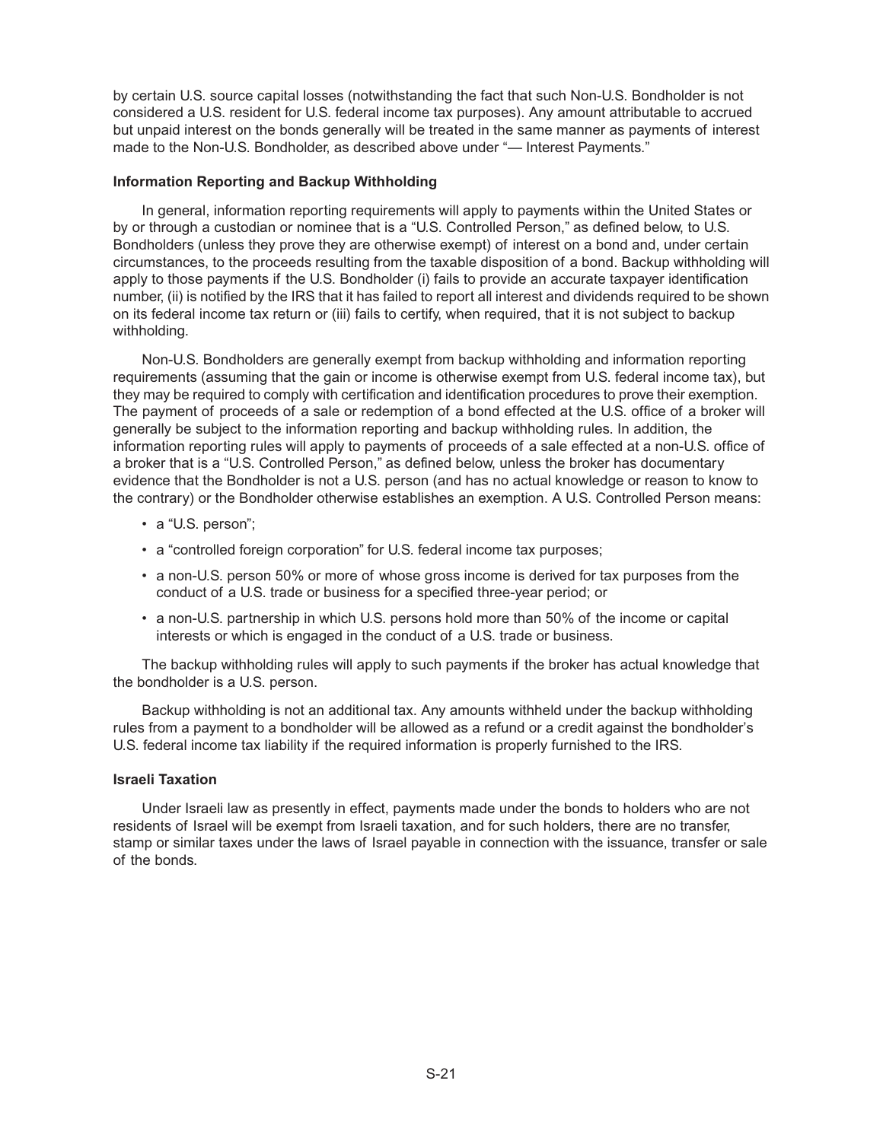by certain U.S. source capital losses (notwithstanding the fact that such Non-U.S. Bondholder is not considered a U.S. resident for U.S. federal income tax purposes). Any amount attributable to accrued but unpaid interest on the bonds generally will be treated in the same manner as payments of interest made to the Non-U.S. Bondholder, as described above under "— Interest Payments."

## **Information Reporting and Backup Withholding**

In general, information reporting requirements will apply to payments within the United States or by or through a custodian or nominee that is a "U.S. Controlled Person," as defined below, to U.S. Bondholders (unless they prove they are otherwise exempt) of interest on a bond and, under certain circumstances, to the proceeds resulting from the taxable disposition of a bond. Backup withholding will apply to those payments if the U.S. Bondholder (i) fails to provide an accurate taxpayer identification number, (ii) is notified by the IRS that it has failed to report all interest and dividends required to be shown on its federal income tax return or (iii) fails to certify, when required, that it is not subject to backup withholding.

Non-U.S. Bondholders are generally exempt from backup withholding and information reporting requirements (assuming that the gain or income is otherwise exempt from U.S. federal income tax), but they may be required to comply with certification and identification procedures to prove their exemption. The payment of proceeds of a sale or redemption of a bond effected at the U.S. office of a broker will generally be subject to the information reporting and backup withholding rules. In addition, the information reporting rules will apply to payments of proceeds of a sale effected at a non-U.S. office of a broker that is a "U.S. Controlled Person," as defined below, unless the broker has documentary evidence that the Bondholder is not a U.S. person (and has no actual knowledge or reason to know to the contrary) or the Bondholder otherwise establishes an exemption. A U.S. Controlled Person means:

- a "U.S. person";
- a "controlled foreign corporation" for U.S. federal income tax purposes;
- a non-U.S. person 50% or more of whose gross income is derived for tax purposes from the conduct of a U.S. trade or business for a specified three-year period; or
- a non-U.S. partnership in which U.S. persons hold more than 50% of the income or capital interests or which is engaged in the conduct of a U.S. trade or business.

The backup withholding rules will apply to such payments if the broker has actual knowledge that the bondholder is a U.S. person.

Backup withholding is not an additional tax. Any amounts withheld under the backup withholding rules from a payment to a bondholder will be allowed as a refund or a credit against the bondholder's U.S. federal income tax liability if the required information is properly furnished to the IRS.

## **Israeli Taxation**

Under Israeli law as presently in effect, payments made under the bonds to holders who are not residents of Israel will be exempt from Israeli taxation, and for such holders, there are no transfer, stamp or similar taxes under the laws of Israel payable in connection with the issuance, transfer or sale of the bonds.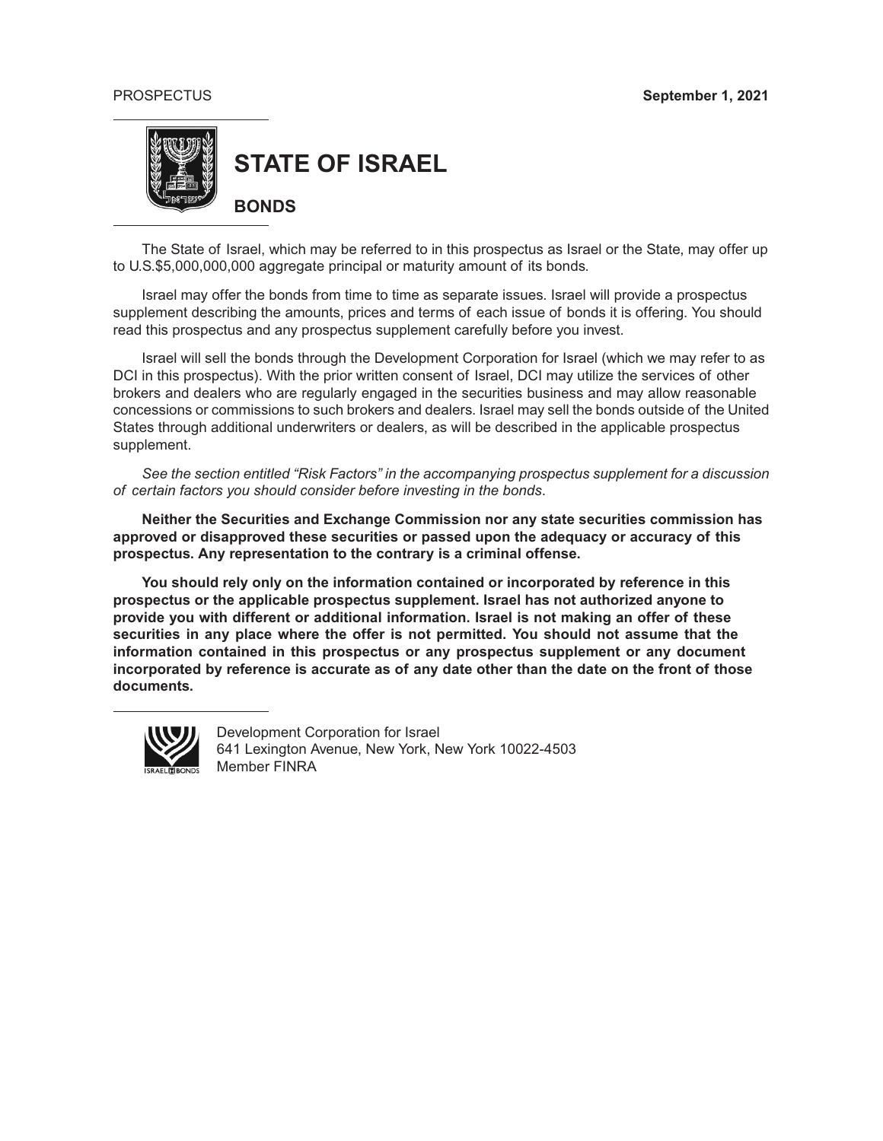

**STATE OF ISRAEL**

**BONDS**

The State of Israel, which may be referred to in this prospectus as Israel or the State, may offer up to U.S.\$5,000,000,000 aggregate principal or maturity amount of its bonds.

Israel may offer the bonds from time to time as separate issues. Israel will provide a prospectus supplement describing the amounts, prices and terms of each issue of bonds it is offering. You should read this prospectus and any prospectus supplement carefully before you invest.

Israel will sell the bonds through the Development Corporation for Israel (which we may refer to as DCI in this prospectus). With the prior written consent of Israel, DCI may utilize the services of other brokers and dealers who are regularly engaged in the securities business and may allow reasonable concessions or commissions to such brokers and dealers. Israel may sell the bonds outside of the United States through additional underwriters or dealers, as will be described in the applicable prospectus supplement.

*See the section entitled "Risk Factors" in the accompanying prospectus supplement for a discussion of certain factors you should consider before investing in the bonds*.

**Neither the Securities and Exchange Commission nor any state securities commission has approved or disapproved these securities or passed upon the adequacy or accuracy of this prospectus. Any representation to the contrary is a criminal offense.**

**You should rely only on the information contained or incorporated by reference in this prospectus or the applicable prospectus supplement. Israel has not authorized anyone to provide you with different or additional information. Israel is not making an offer of these securities in any place where the offer is not permitted. You should not assume that the information contained in this prospectus or any prospectus supplement or any document incorporated by reference is accurate as of any date other than the date on the front of those documents.**



Development Corporation for Israel 641 Lexington Avenue, New York, New York 10022-4503 Member FINRA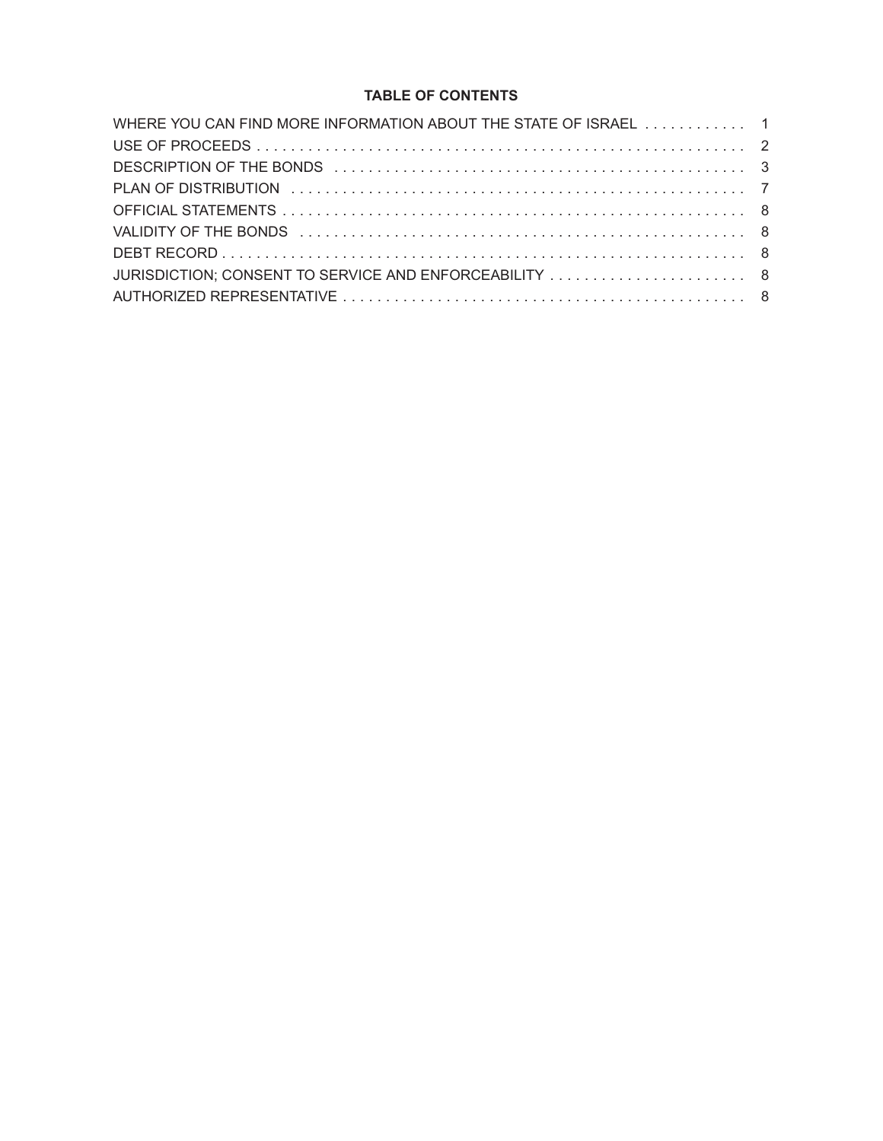# **TABLE OF CONTENTS**

| WHERE YOU CAN FIND MORE INFORMATION ABOUT THE STATE OF ISRAEL  1                                                                                                                                                               |  |
|--------------------------------------------------------------------------------------------------------------------------------------------------------------------------------------------------------------------------------|--|
|                                                                                                                                                                                                                                |  |
|                                                                                                                                                                                                                                |  |
|                                                                                                                                                                                                                                |  |
|                                                                                                                                                                                                                                |  |
| VALIDITY OF THE BONDS (and account of the contract of the contract of the contract of the contract of the contract of the contract of the contract of the contract of the contract of the contract of the contract of the cont |  |
|                                                                                                                                                                                                                                |  |
|                                                                                                                                                                                                                                |  |
|                                                                                                                                                                                                                                |  |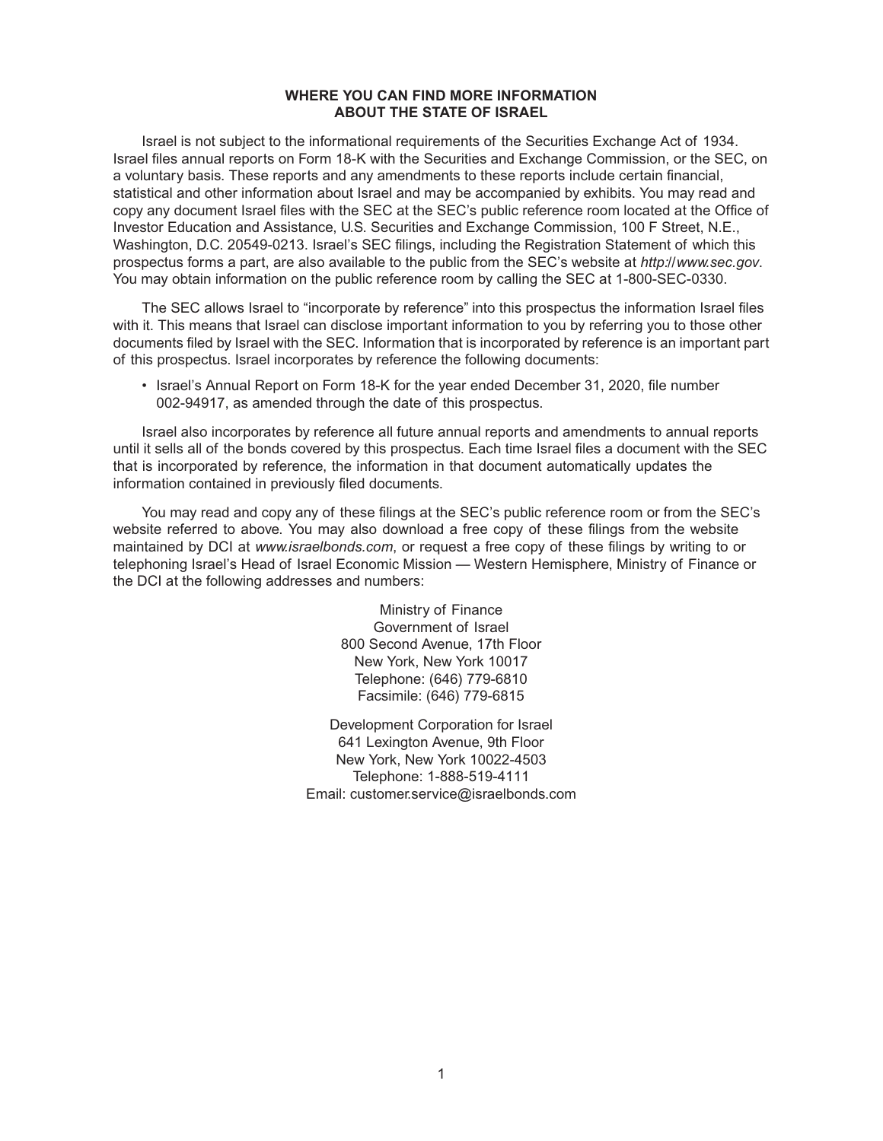## **WHERE YOU CAN FIND MORE INFORMATION ABOUT THE STATE OF ISRAEL**

Israel is not subject to the informational requirements of the Securities Exchange Act of 1934. Israel files annual reports on Form 18-K with the Securities and Exchange Commission, or the SEC, on a voluntary basis. These reports and any amendments to these reports include certain financial, statistical and other information about Israel and may be accompanied by exhibits. You may read and copy any document Israel files with the SEC at the SEC's public reference room located at the Office of Investor Education and Assistance, U.S. Securities and Exchange Commission, 100 F Street, N.E., Washington, D.C. 20549-0213. Israel's SEC filings, including the Registration Statement of which this prospectus forms a part, are also available to the public from the SEC's website at *http://www.sec.gov*. You may obtain information on the public reference room by calling the SEC at 1-800-SEC-0330.

The SEC allows Israel to "incorporate by reference" into this prospectus the information Israel files with it. This means that Israel can disclose important information to you by referring you to those other documents filed by Israel with the SEC. Information that is incorporated by reference is an important part of this prospectus. Israel incorporates by reference the following documents:

• Israel's Annual Report on Form 18-K for the year ended December 31, 2020, file number 002-94917, as amended through the date of this prospectus.

Israel also incorporates by reference all future annual reports and amendments to annual reports until it sells all of the bonds covered by this prospectus. Each time Israel files a document with the SEC that is incorporated by reference, the information in that document automatically updates the information contained in previously filed documents.

You may read and copy any of these filings at the SEC's public reference room or from the SEC's website referred to above. You may also download a free copy of these filings from the website maintained by DCI at *www.israelbonds.com*, or request a free copy of these filings by writing to or telephoning Israel's Head of Israel Economic Mission — Western Hemisphere, Ministry of Finance or the DCI at the following addresses and numbers:

> Ministry of Finance Government of Israel 800 Second Avenue, 17th Floor New York, New York 10017 Telephone: (646) 779-6810 Facsimile: (646) 779-6815

Development Corporation for Israel 641 Lexington Avenue, 9th Floor New York, New York 10022-4503 Telephone: 1-888-519-4111 Email: customer.service@israelbonds.com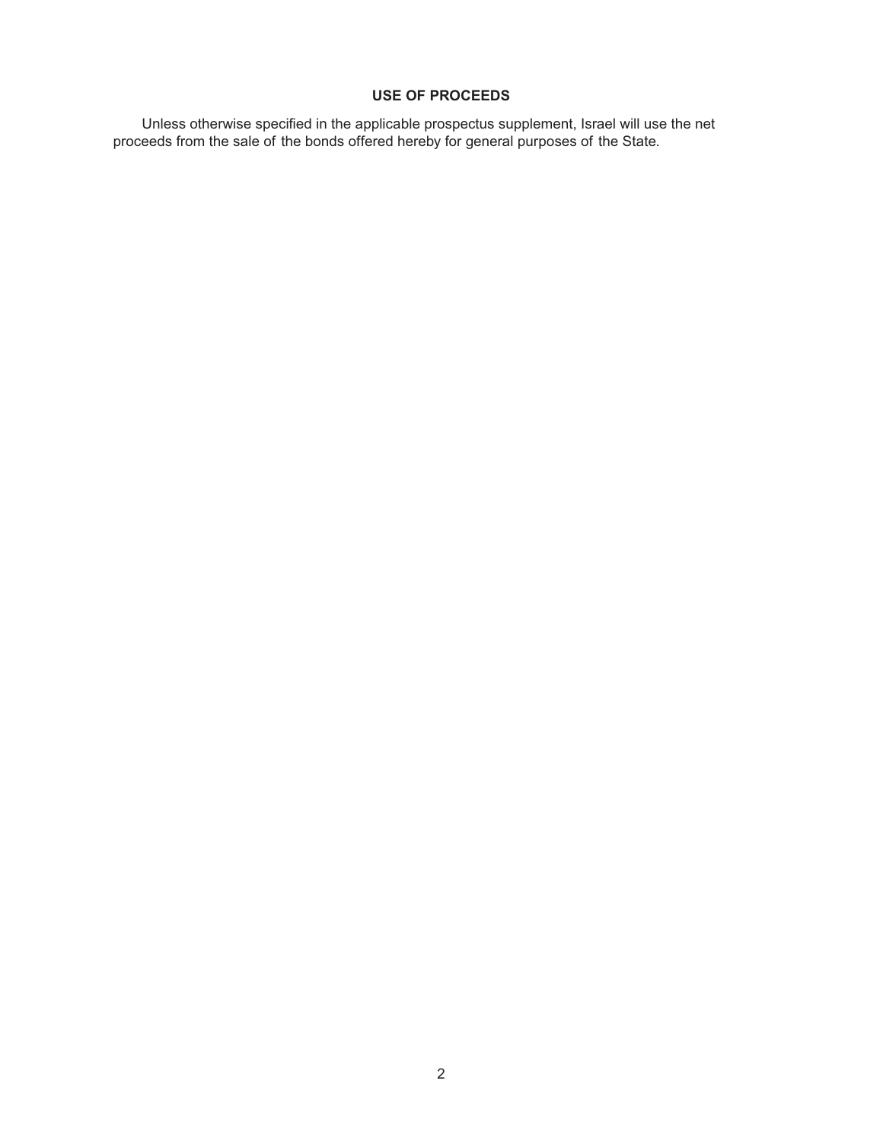# **USE OF PROCEEDS**

Unless otherwise specified in the applicable prospectus supplement, Israel will use the net proceeds from the sale of the bonds offered hereby for general purposes of the State.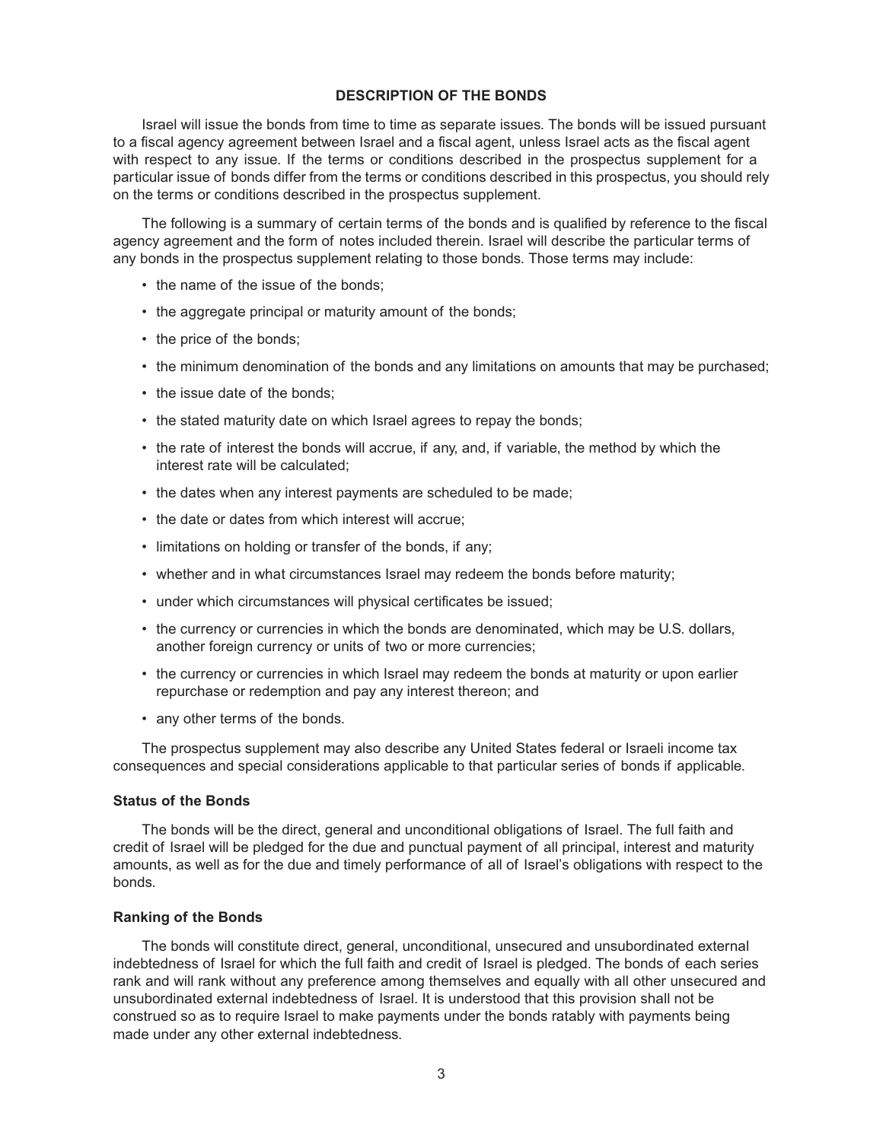#### **DESCRIPTION OF THE BONDS**

Israel will issue the bonds from time to time as separate issues. The bonds will be issued pursuant to a fiscal agency agreement between Israel and a fiscal agent, unless Israel acts as the fiscal agent with respect to any issue. If the terms or conditions described in the prospectus supplement for a particular issue of bonds differ from the terms or conditions described in this prospectus, you should rely on the terms or conditions described in the prospectus supplement.

The following is a summary of certain terms of the bonds and is qualified by reference to the fiscal agency agreement and the form of notes included therein. Israel will describe the particular terms of any bonds in the prospectus supplement relating to those bonds. Those terms may include:

- the name of the issue of the bonds;
- the aggregate principal or maturity amount of the bonds;
- the price of the bonds;
- the minimum denomination of the bonds and any limitations on amounts that may be purchased;
- the issue date of the bonds;
- the stated maturity date on which Israel agrees to repay the bonds;
- the rate of interest the bonds will accrue, if any, and, if variable, the method by which the interest rate will be calculated;
- the dates when any interest payments are scheduled to be made;
- the date or dates from which interest will accrue;
- limitations on holding or transfer of the bonds, if any;
- whether and in what circumstances Israel may redeem the bonds before maturity;
- under which circumstances will physical certificates be issued;
- the currency or currencies in which the bonds are denominated, which may be U.S. dollars, another foreign currency or units of two or more currencies;
- the currency or currencies in which Israel may redeem the bonds at maturity or upon earlier repurchase or redemption and pay any interest thereon; and
- any other terms of the bonds.

The prospectus supplement may also describe any United States federal or Israeli income tax consequences and special considerations applicable to that particular series of bonds if applicable.

#### **Status of the Bonds**

The bonds will be the direct, general and unconditional obligations of Israel. The full faith and credit of Israel will be pledged for the due and punctual payment of all principal, interest and maturity amounts, as well as for the due and timely performance of all of Israel's obligations with respect to the bonds.

## **Ranking of the Bonds**

The bonds will constitute direct, general, unconditional, unsecured and unsubordinated external indebtedness of Israel for which the full faith and credit of Israel is pledged. The bonds of each series rank and will rank without any preference among themselves and equally with all other unsecured and unsubordinated external indebtedness of Israel. It is understood that this provision shall not be construed so as to require Israel to make payments under the bonds ratably with payments being made under any other external indebtedness.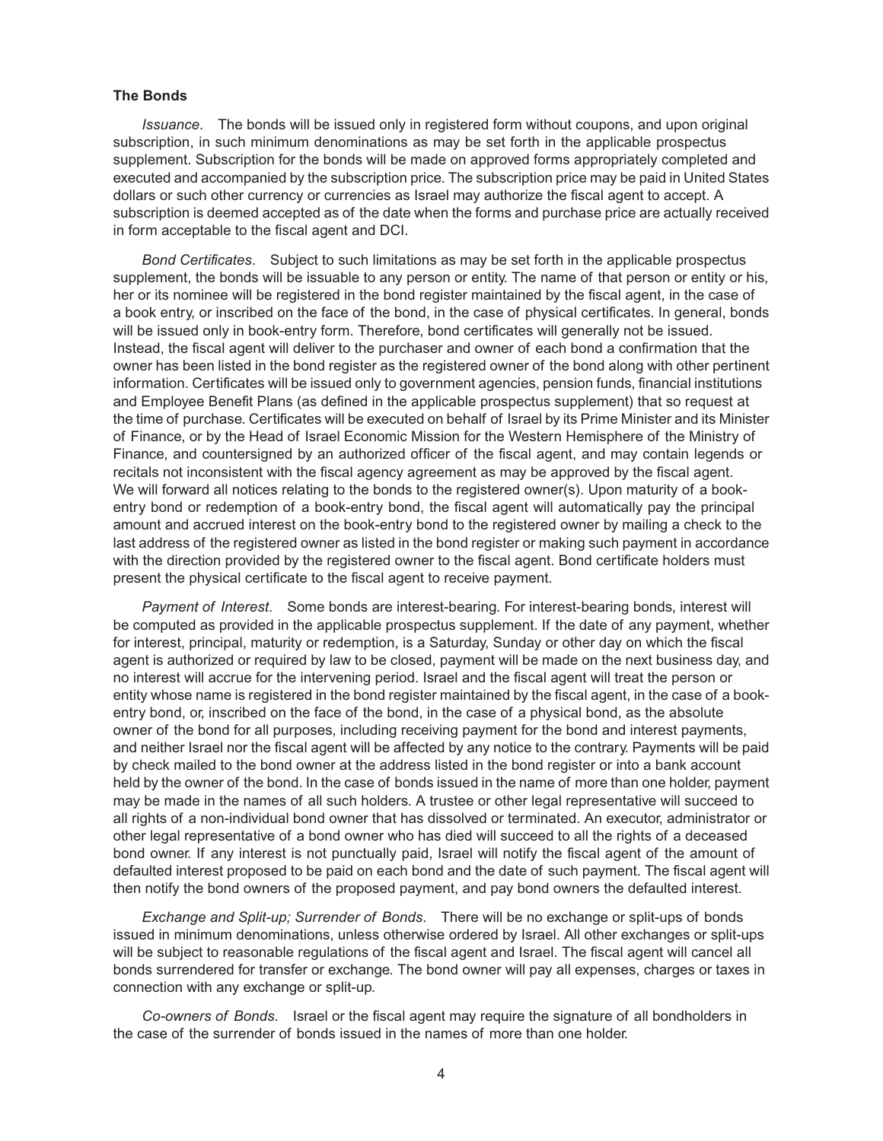#### **The Bonds**

*Issuance*. The bonds will be issued only in registered form without coupons, and upon original subscription, in such minimum denominations as may be set forth in the applicable prospectus supplement. Subscription for the bonds will be made on approved forms appropriately completed and executed and accompanied by the subscription price. The subscription price may be paid in United States dollars or such other currency or currencies as Israel may authorize the fiscal agent to accept. A subscription is deemed accepted as of the date when the forms and purchase price are actually received in form acceptable to the fiscal agent and DCI.

*Bond Certificates*. Subject to such limitations as may be set forth in the applicable prospectus supplement, the bonds will be issuable to any person or entity. The name of that person or entity or his, her or its nominee will be registered in the bond register maintained by the fiscal agent, in the case of a book entry, or inscribed on the face of the bond, in the case of physical certificates. In general, bonds will be issued only in book-entry form. Therefore, bond certificates will generally not be issued. Instead, the fiscal agent will deliver to the purchaser and owner of each bond a confirmation that the owner has been listed in the bond register as the registered owner of the bond along with other pertinent information. Certificates will be issued only to government agencies, pension funds, financial institutions and Employee Benefit Plans (as defined in the applicable prospectus supplement) that so request at the time of purchase. Certificates will be executed on behalf of Israel by its Prime Minister and its Minister of Finance, or by the Head of Israel Economic Mission for the Western Hemisphere of the Ministry of Finance, and countersigned by an authorized officer of the fiscal agent, and may contain legends or recitals not inconsistent with the fiscal agency agreement as may be approved by the fiscal agent. We will forward all notices relating to the bonds to the registered owner(s). Upon maturity of a bookentry bond or redemption of a book-entry bond, the fiscal agent will automatically pay the principal amount and accrued interest on the book-entry bond to the registered owner by mailing a check to the last address of the registered owner as listed in the bond register or making such payment in accordance with the direction provided by the registered owner to the fiscal agent. Bond certificate holders must present the physical certificate to the fiscal agent to receive payment.

*Payment of Interest*. Some bonds are interest-bearing. For interest-bearing bonds, interest will be computed as provided in the applicable prospectus supplement. If the date of any payment, whether for interest, principal, maturity or redemption, is a Saturday, Sunday or other day on which the fiscal agent is authorized or required by law to be closed, payment will be made on the next business day, and no interest will accrue for the intervening period. Israel and the fiscal agent will treat the person or entity whose name is registered in the bond register maintained by the fiscal agent, in the case of a bookentry bond, or, inscribed on the face of the bond, in the case of a physical bond, as the absolute owner of the bond for all purposes, including receiving payment for the bond and interest payments, and neither Israel nor the fiscal agent will be affected by any notice to the contrary. Payments will be paid by check mailed to the bond owner at the address listed in the bond register or into a bank account held by the owner of the bond. In the case of bonds issued in the name of more than one holder, payment may be made in the names of all such holders. A trustee or other legal representative will succeed to all rights of a non-individual bond owner that has dissolved or terminated. An executor, administrator or other legal representative of a bond owner who has died will succeed to all the rights of a deceased bond owner. If any interest is not punctually paid, Israel will notify the fiscal agent of the amount of defaulted interest proposed to be paid on each bond and the date of such payment. The fiscal agent will then notify the bond owners of the proposed payment, and pay bond owners the defaulted interest.

*Exchange and Split-up; Surrender of Bonds*. There will be no exchange or split-ups of bonds issued in minimum denominations, unless otherwise ordered by Israel. All other exchanges or split-ups will be subject to reasonable regulations of the fiscal agent and Israel. The fiscal agent will cancel all bonds surrendered for transfer or exchange. The bond owner will pay all expenses, charges or taxes in connection with any exchange or split-up.

*Co-owners of Bonds*. Israel or the fiscal agent may require the signature of all bondholders in the case of the surrender of bonds issued in the names of more than one holder.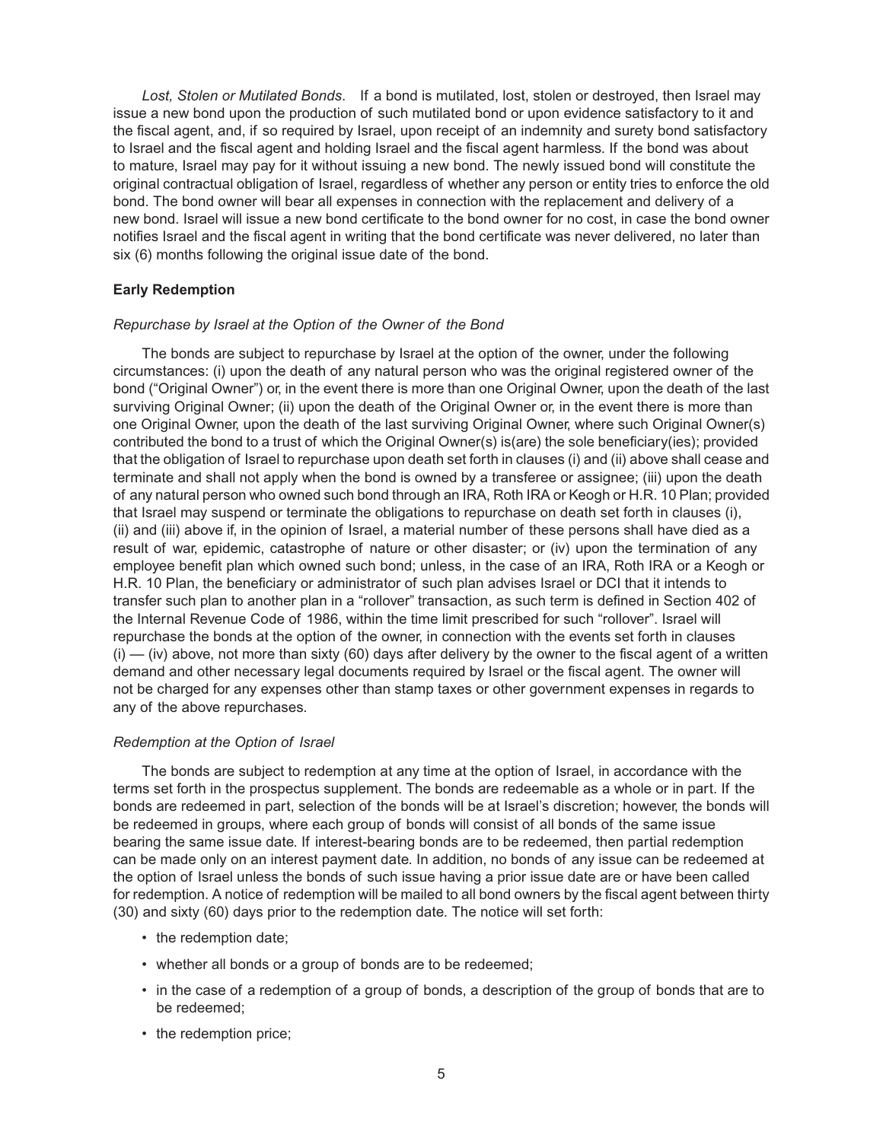*Lost, Stolen or Mutilated Bonds*. If a bond is mutilated, lost, stolen or destroyed, then Israel may issue a new bond upon the production of such mutilated bond or upon evidence satisfactory to it and the fiscal agent, and, if so required by Israel, upon receipt of an indemnity and surety bond satisfactory to Israel and the fiscal agent and holding Israel and the fiscal agent harmless. If the bond was about to mature, Israel may pay for it without issuing a new bond. The newly issued bond will constitute the original contractual obligation of Israel, regardless of whether any person or entity tries to enforce the old bond. The bond owner will bear all expenses in connection with the replacement and delivery of a new bond. Israel will issue a new bond certificate to the bond owner for no cost, in case the bond owner notifies Israel and the fiscal agent in writing that the bond certificate was never delivered, no later than six (6) months following the original issue date of the bond.

## **Early Redemption**

## *Repurchase by Israel at the Option of the Owner of the Bond*

The bonds are subject to repurchase by Israel at the option of the owner, under the following circumstances: (i) upon the death of any natural person who was the original registered owner of the bond ("Original Owner") or, in the event there is more than one Original Owner, upon the death of the last surviving Original Owner; (ii) upon the death of the Original Owner or, in the event there is more than one Original Owner, upon the death of the last surviving Original Owner, where such Original Owner(s) contributed the bond to a trust of which the Original Owner(s) is(are) the sole beneficiary(ies); provided that the obligation of Israel to repurchase upon death set forth in clauses (i) and (ii) above shall cease and terminate and shall not apply when the bond is owned by a transferee or assignee; (iii) upon the death of any natural person who owned such bond through an IRA, Roth IRA or Keogh or H.R. 10 Plan; provided that Israel may suspend or terminate the obligations to repurchase on death set forth in clauses (i), (ii) and (iii) above if, in the opinion of Israel, a material number of these persons shall have died as a result of war, epidemic, catastrophe of nature or other disaster; or (iv) upon the termination of any employee benefit plan which owned such bond; unless, in the case of an IRA, Roth IRA or a Keogh or H.R. 10 Plan, the beneficiary or administrator of such plan advises Israel or DCI that it intends to transfer such plan to another plan in a "rollover" transaction, as such term is defined in Section 402 of the Internal Revenue Code of 1986, within the time limit prescribed for such "rollover". Israel will repurchase the bonds at the option of the owner, in connection with the events set forth in clauses  $(i)$  — (iv) above, not more than sixty (60) days after delivery by the owner to the fiscal agent of a written demand and other necessary legal documents required by Israel or the fiscal agent. The owner will not be charged for any expenses other than stamp taxes or other government expenses in regards to any of the above repurchases.

## *Redemption at the Option of Israel*

The bonds are subject to redemption at any time at the option of Israel, in accordance with the terms set forth in the prospectus supplement. The bonds are redeemable as a whole or in part. If the bonds are redeemed in part, selection of the bonds will be at Israel's discretion; however, the bonds will be redeemed in groups, where each group of bonds will consist of all bonds of the same issue bearing the same issue date. If interest-bearing bonds are to be redeemed, then partial redemption can be made only on an interest payment date. In addition, no bonds of any issue can be redeemed at the option of Israel unless the bonds of such issue having a prior issue date are or have been called for redemption. A notice of redemption will be mailed to all bond owners by the fiscal agent between thirty (30) and sixty (60) days prior to the redemption date. The notice will set forth:

- the redemption date;
- whether all bonds or a group of bonds are to be redeemed;
- in the case of a redemption of a group of bonds, a description of the group of bonds that are to be redeemed;
- the redemption price;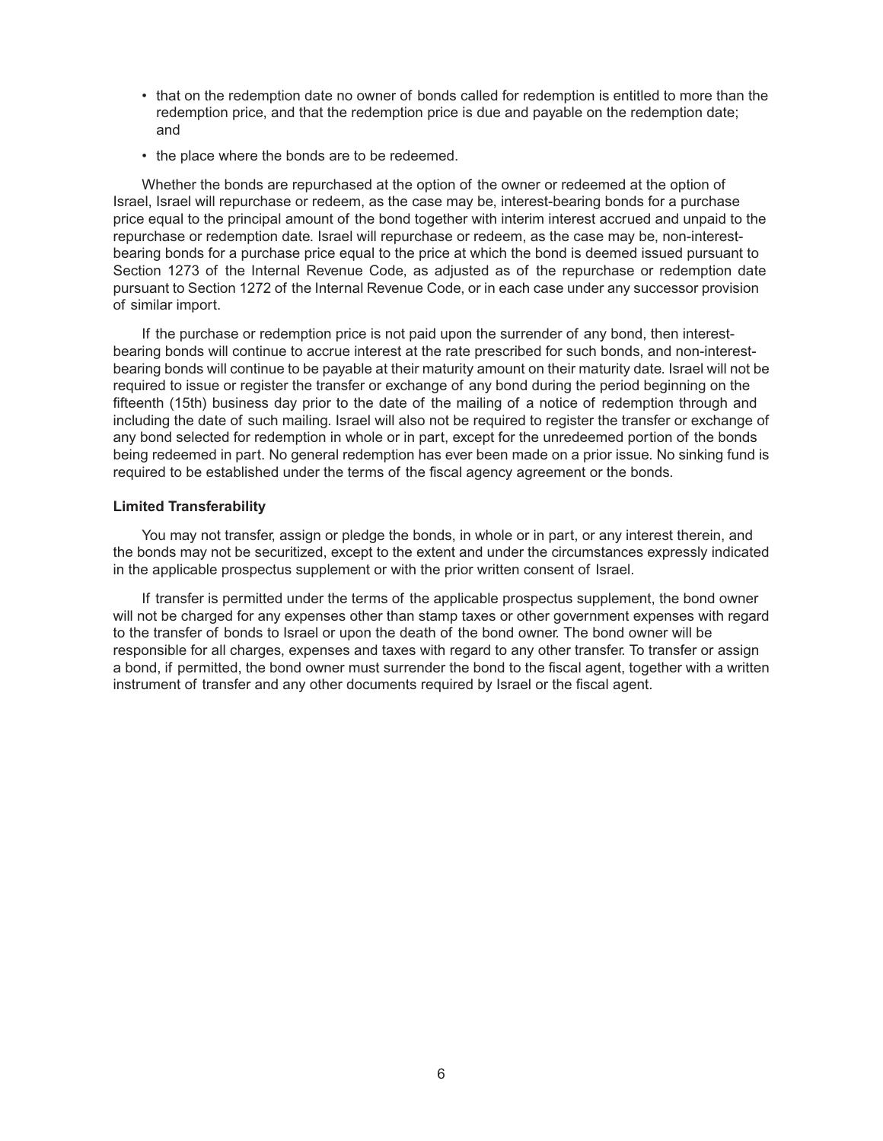- that on the redemption date no owner of bonds called for redemption is entitled to more than the redemption price, and that the redemption price is due and payable on the redemption date; and
- the place where the bonds are to be redeemed.

Whether the bonds are repurchased at the option of the owner or redeemed at the option of Israel, Israel will repurchase or redeem, as the case may be, interest-bearing bonds for a purchase price equal to the principal amount of the bond together with interim interest accrued and unpaid to the repurchase or redemption date. Israel will repurchase or redeem, as the case may be, non-interestbearing bonds for a purchase price equal to the price at which the bond is deemed issued pursuant to Section 1273 of the Internal Revenue Code, as adjusted as of the repurchase or redemption date pursuant to Section 1272 of the Internal Revenue Code, or in each case under any successor provision of similar import.

If the purchase or redemption price is not paid upon the surrender of any bond, then interestbearing bonds will continue to accrue interest at the rate prescribed for such bonds, and non-interestbearing bonds will continue to be payable at their maturity amount on their maturity date. Israel will not be required to issue or register the transfer or exchange of any bond during the period beginning on the fifteenth (15th) business day prior to the date of the mailing of a notice of redemption through and including the date of such mailing. Israel will also not be required to register the transfer or exchange of any bond selected for redemption in whole or in part, except for the unredeemed portion of the bonds being redeemed in part. No general redemption has ever been made on a prior issue. No sinking fund is required to be established under the terms of the fiscal agency agreement or the bonds.

#### **Limited Transferability**

You may not transfer, assign or pledge the bonds, in whole or in part, or any interest therein, and the bonds may not be securitized, except to the extent and under the circumstances expressly indicated in the applicable prospectus supplement or with the prior written consent of Israel.

If transfer is permitted under the terms of the applicable prospectus supplement, the bond owner will not be charged for any expenses other than stamp taxes or other government expenses with regard to the transfer of bonds to Israel or upon the death of the bond owner. The bond owner will be responsible for all charges, expenses and taxes with regard to any other transfer. To transfer or assign a bond, if permitted, the bond owner must surrender the bond to the fiscal agent, together with a written instrument of transfer and any other documents required by Israel or the fiscal agent.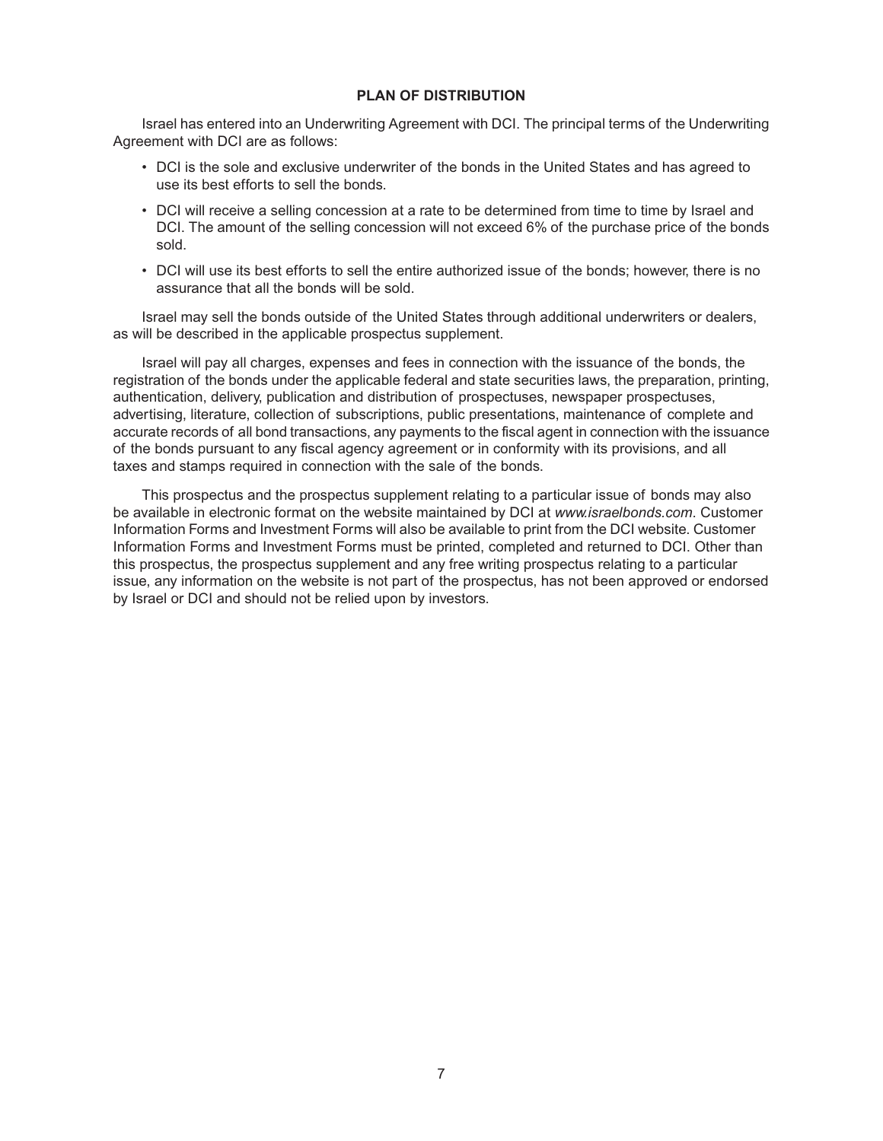## **PLAN OF DISTRIBUTION**

Israel has entered into an Underwriting Agreement with DCI. The principal terms of the Underwriting Agreement with DCI are as follows:

- DCI is the sole and exclusive underwriter of the bonds in the United States and has agreed to use its best efforts to sell the bonds.
- DCI will receive a selling concession at a rate to be determined from time to time by Israel and DCI. The amount of the selling concession will not exceed 6% of the purchase price of the bonds sold.
- DCI will use its best efforts to sell the entire authorized issue of the bonds; however, there is no assurance that all the bonds will be sold.

Israel may sell the bonds outside of the United States through additional underwriters or dealers, as will be described in the applicable prospectus supplement.

Israel will pay all charges, expenses and fees in connection with the issuance of the bonds, the registration of the bonds under the applicable federal and state securities laws, the preparation, printing, authentication, delivery, publication and distribution of prospectuses, newspaper prospectuses, advertising, literature, collection of subscriptions, public presentations, maintenance of complete and accurate records of all bond transactions, any payments to the fiscal agent in connection with the issuance of the bonds pursuant to any fiscal agency agreement or in conformity with its provisions, and all taxes and stamps required in connection with the sale of the bonds.

This prospectus and the prospectus supplement relating to a particular issue of bonds may also be available in electronic format on the website maintained by DCI at *www.israelbonds.com*. Customer Information Forms and Investment Forms will also be available to print from the DCI website. Customer Information Forms and Investment Forms must be printed, completed and returned to DCI. Other than this prospectus, the prospectus supplement and any free writing prospectus relating to a particular issue, any information on the website is not part of the prospectus, has not been approved or endorsed by Israel or DCI and should not be relied upon by investors.